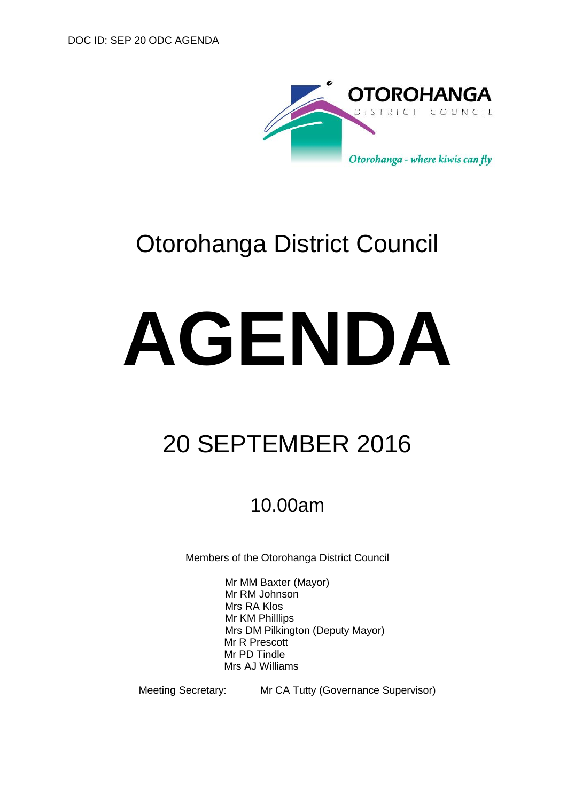

# Otorohanga District Council

# **AGENDA**

# 20 SEPTEMBER 2016

# 10.00am

Members of the Otorohanga District Council

Mr MM Baxter (Mayor) Mr RM Johnson Mrs RA Klos Mr KM Philllips Mrs DM Pilkington (Deputy Mayor) Mr R Prescott Mr PD Tindle Mrs AJ Williams

Meeting Secretary: Mr CA Tutty (Governance Supervisor)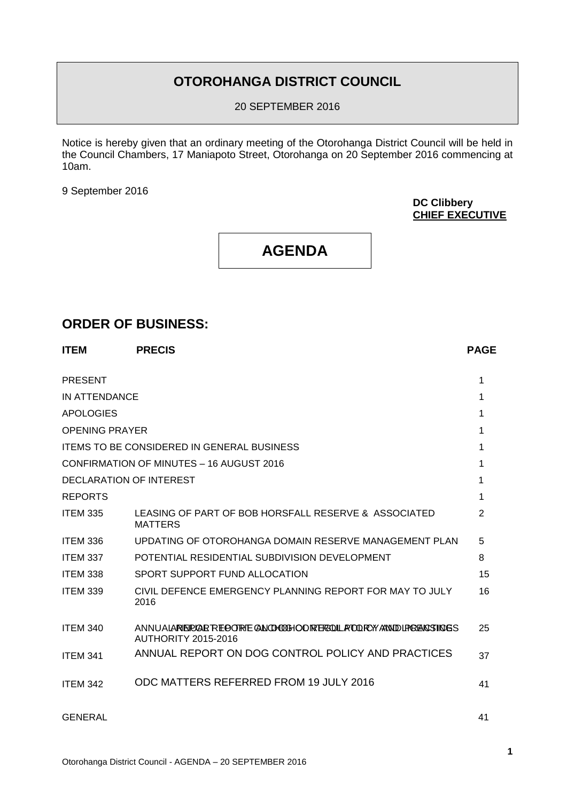# **OTOROHANGA DISTRICT COUNCIL**

20 SEPTEMBER 2016

Notice is hereby given that an ordinary meeting of the Otorohanga District Council will be held in the Council Chambers, 17 Maniapoto Street, Otorohanga on 20 September 2016 commencing at 10am.

9 September 2016

**DC Clibbery CHIEF EXECUTIVE**

# **AGENDA**

## **ORDER OF BUSINESS:**

| <b>ITEM</b>           | <b>PRECIS</b>                                                                                  | <b>PAGE</b>    |
|-----------------------|------------------------------------------------------------------------------------------------|----------------|
| <b>PRESENT</b>        |                                                                                                |                |
| IN ATTENDANCE         |                                                                                                |                |
| <b>APOLOGIES</b>      |                                                                                                |                |
| <b>OPENING PRAYER</b> |                                                                                                |                |
|                       | <b>ITEMS TO BE CONSIDERED IN GENERAL BUSINESS</b>                                              |                |
|                       | CONFIRMATION OF MINUTES - 16 AUGUST 2016                                                       |                |
|                       | DECLARATION OF INTEREST                                                                        |                |
| <b>REPORTS</b>        |                                                                                                |                |
| <b>ITEM 335</b>       | LEASING OF PART OF BOB HORSFALL RESERVE & ASSOCIATED<br><b>MATTERS</b>                         | $\overline{2}$ |
| ITEM 336              | UPDATING OF OTOROHANGA DOMAIN RESERVE MANAGEMENT PLAN                                          | 5              |
| <b>ITEM 337</b>       | POTENTIAL RESIDENTIAL SUBDIVISION DEVELOPMENT                                                  | 8              |
| <b>ITEM 338</b>       | SPORT SUPPORT FUND ALLOCATION                                                                  | 15             |
| <b>ITEM 339</b>       | CIVIL DEFENCE EMERGENCY PLANNING REPORT FOR MAY TO JULY<br>2016                                | 16             |
| <b>ITEM 340</b>       | ANNUALARIEIPLAR REOORTE ANOHOOHOORTEROOLLATOORY/ANNIDURGENOSINGS<br><b>AUTHORITY 2015-2016</b> | 25             |
| <b>ITEM 341</b>       | ANNUAL REPORT ON DOG CONTROL POLICY AND PRACTICES                                              | 37             |
| <b>ITEM 342</b>       | ODC MATTERS REFERRED FROM 19 JULY 2016                                                         | 41             |
| <b>GENERAL</b>        |                                                                                                | 41             |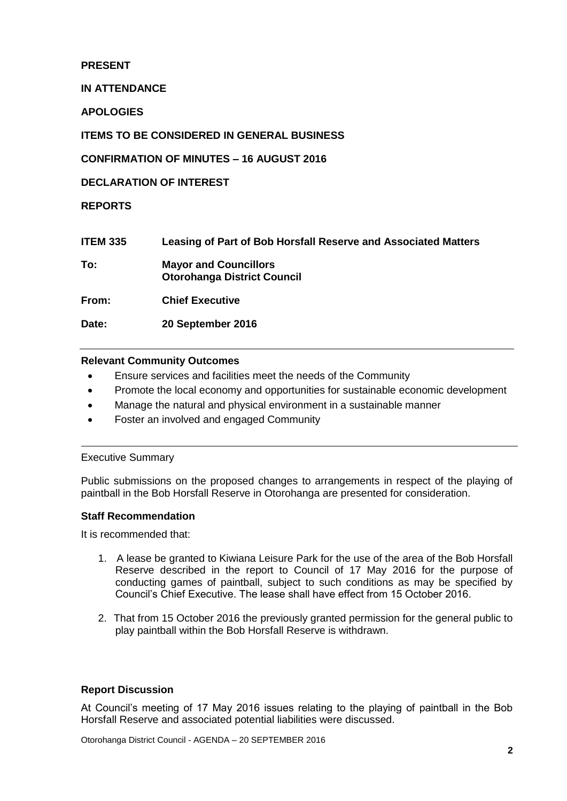#### **PRESENT**

#### **IN ATTENDANCE**

**APOLOGIES**

**ITEMS TO BE CONSIDERED IN GENERAL BUSINESS**

**CONFIRMATION OF MINUTES – 16 AUGUST 2016**

**DECLARATION OF INTEREST**

**REPORTS**

| <b>ITEM 335</b> | Leasing of Part of Bob Horsfall Reserve and Associated Matters     |
|-----------------|--------------------------------------------------------------------|
| To:             | <b>Mayor and Councillors</b><br><b>Otorohanga District Council</b> |
| From:           | <b>Chief Executive</b>                                             |
| Date:           | 20 September 2016                                                  |

#### **Relevant Community Outcomes**

- Ensure services and facilities meet the needs of the Community
- Promote the local economy and opportunities for sustainable economic development
- Manage the natural and physical environment in a sustainable manner
- Foster an involved and engaged Community

#### Executive Summary

Public submissions on the proposed changes to arrangements in respect of the playing of paintball in the Bob Horsfall Reserve in Otorohanga are presented for consideration.

#### **Staff Recommendation**

It is recommended that:

- 1. A lease be granted to Kiwiana Leisure Park for the use of the area of the Bob Horsfall Reserve described in the report to Council of 17 May 2016 for the purpose of conducting games of paintball, subject to such conditions as may be specified by Council's Chief Executive. The lease shall have effect from 15 October 2016.
- 2. That from 15 October 2016 the previously granted permission for the general public to play paintball within the Bob Horsfall Reserve is withdrawn.

#### **Report Discussion**

At Council's meeting of 17 May 2016 issues relating to the playing of paintball in the Bob Horsfall Reserve and associated potential liabilities were discussed.

Otorohanga District Council - AGENDA – 20 SEPTEMBER 2016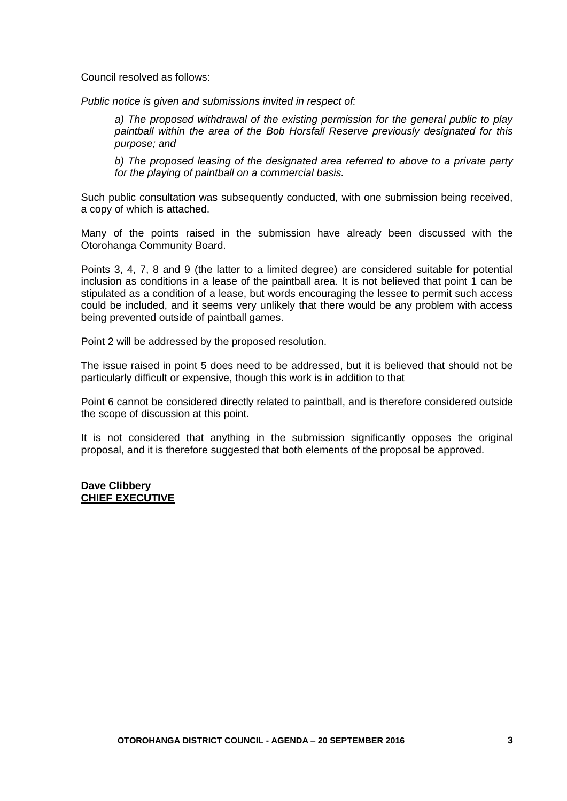Council resolved as follows:

*Public notice is given and submissions invited in respect of:*

*a) The proposed withdrawal of the existing permission for the general public to play paintball within the area of the Bob Horsfall Reserve previously designated for this purpose; and*

*b) The proposed leasing of the designated area referred to above to a private party for the playing of paintball on a commercial basis.*

Such public consultation was subsequently conducted, with one submission being received, a copy of which is attached.

Many of the points raised in the submission have already been discussed with the Otorohanga Community Board.

Points 3, 4, 7, 8 and 9 (the latter to a limited degree) are considered suitable for potential inclusion as conditions in a lease of the paintball area. It is not believed that point 1 can be stipulated as a condition of a lease, but words encouraging the lessee to permit such access could be included, and it seems very unlikely that there would be any problem with access being prevented outside of paintball games.

Point 2 will be addressed by the proposed resolution.

The issue raised in point 5 does need to be addressed, but it is believed that should not be particularly difficult or expensive, though this work is in addition to that

Point 6 cannot be considered directly related to paintball, and is therefore considered outside the scope of discussion at this point.

It is not considered that anything in the submission significantly opposes the original proposal, and it is therefore suggested that both elements of the proposal be approved.

#### **Dave Clibbery CHIEF EXECUTIVE**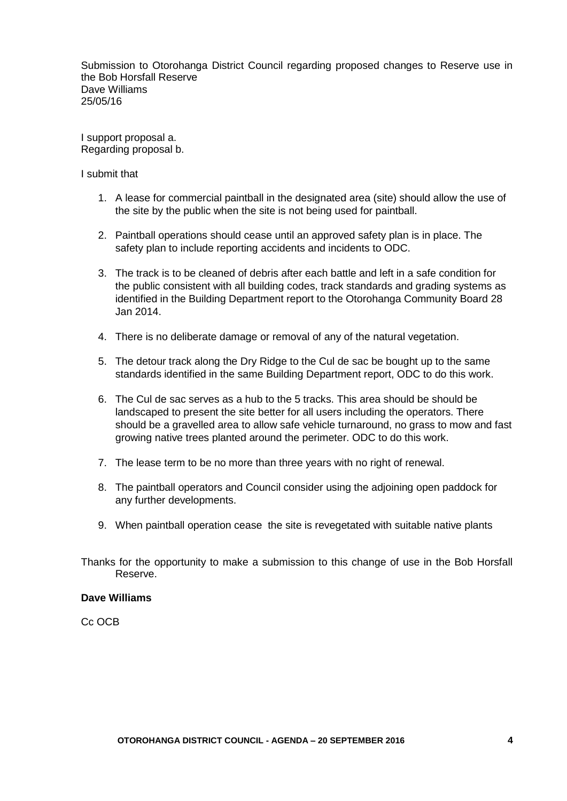Submission to Otorohanga District Council regarding proposed changes to Reserve use in the Bob Horsfall Reserve Dave Williams 25/05/16

I support proposal a. Regarding proposal b.

I submit that

- 1. A lease for commercial paintball in the designated area (site) should allow the use of the site by the public when the site is not being used for paintball.
- 2. Paintball operations should cease until an approved safety plan is in place. The safety plan to include reporting accidents and incidents to ODC.
- 3. The track is to be cleaned of debris after each battle and left in a safe condition for the public consistent with all building codes, track standards and grading systems as identified in the Building Department report to the Otorohanga Community Board 28 Jan 2014.
- 4. There is no deliberate damage or removal of any of the natural vegetation.
- 5. The detour track along the Dry Ridge to the Cul de sac be bought up to the same standards identified in the same Building Department report, ODC to do this work.
- 6. The Cul de sac serves as a hub to the 5 tracks. This area should be should be landscaped to present the site better for all users including the operators. There should be a gravelled area to allow safe vehicle turnaround, no grass to mow and fast growing native trees planted around the perimeter. ODC to do this work.
- 7. The lease term to be no more than three years with no right of renewal.
- 8. The paintball operators and Council consider using the adjoining open paddock for any further developments.
- 9. When paintball operation cease the site is revegetated with suitable native plants
- Thanks for the opportunity to make a submission to this change of use in the Bob Horsfall Reserve.

#### **Dave Williams**

Cc OCB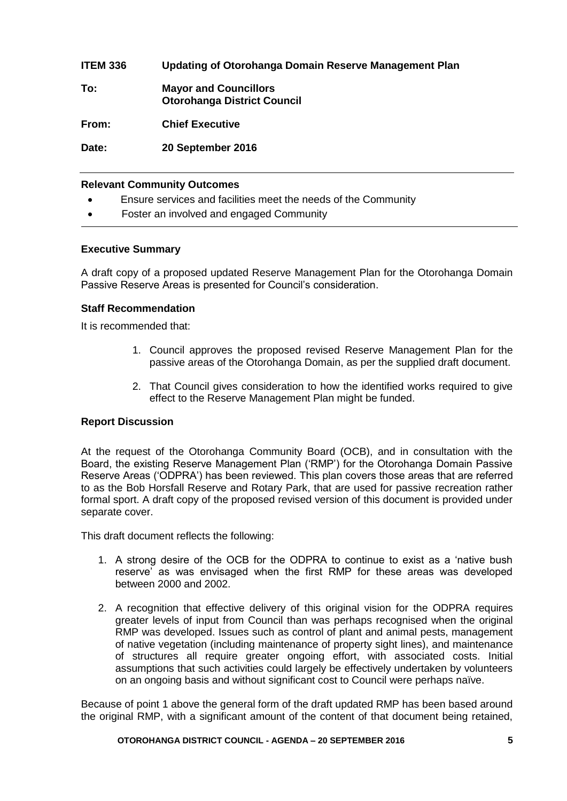| <b>ITEM 336</b> | Updating of Otorohanga Domain Reserve Management Plan              |
|-----------------|--------------------------------------------------------------------|
| To:             | <b>Mayor and Councillors</b><br><b>Otorohanga District Council</b> |
| From:           | <b>Chief Executive</b>                                             |
| Date:           | 20 September 2016                                                  |

#### **Relevant Community Outcomes**

- Ensure services and facilities meet the needs of the Community
- Foster an involved and engaged Community

#### **Executive Summary**

A draft copy of a proposed updated Reserve Management Plan for the Otorohanga Domain Passive Reserve Areas is presented for Council's consideration.

#### **Staff Recommendation**

It is recommended that:

- 1. Council approves the proposed revised Reserve Management Plan for the passive areas of the Otorohanga Domain, as per the supplied draft document.
- 2. That Council gives consideration to how the identified works required to give effect to the Reserve Management Plan might be funded.

#### **Report Discussion**

At the request of the Otorohanga Community Board (OCB), and in consultation with the Board, the existing Reserve Management Plan ('RMP') for the Otorohanga Domain Passive Reserve Areas ('ODPRA') has been reviewed. This plan covers those areas that are referred to as the Bob Horsfall Reserve and Rotary Park, that are used for passive recreation rather formal sport. A draft copy of the proposed revised version of this document is provided under separate cover.

This draft document reflects the following:

- 1. A strong desire of the OCB for the ODPRA to continue to exist as a 'native bush reserve' as was envisaged when the first RMP for these areas was developed between 2000 and 2002.
- 2. A recognition that effective delivery of this original vision for the ODPRA requires greater levels of input from Council than was perhaps recognised when the original RMP was developed. Issues such as control of plant and animal pests, management of native vegetation (including maintenance of property sight lines), and maintenance of structures all require greater ongoing effort, with associated costs. Initial assumptions that such activities could largely be effectively undertaken by volunteers on an ongoing basis and without significant cost to Council were perhaps naïve.

Because of point 1 above the general form of the draft updated RMP has been based around the original RMP, with a significant amount of the content of that document being retained,

#### **OTOROHANGA DISTRICT COUNCIL - AGENDA – 20 SEPTEMBER 2016 5**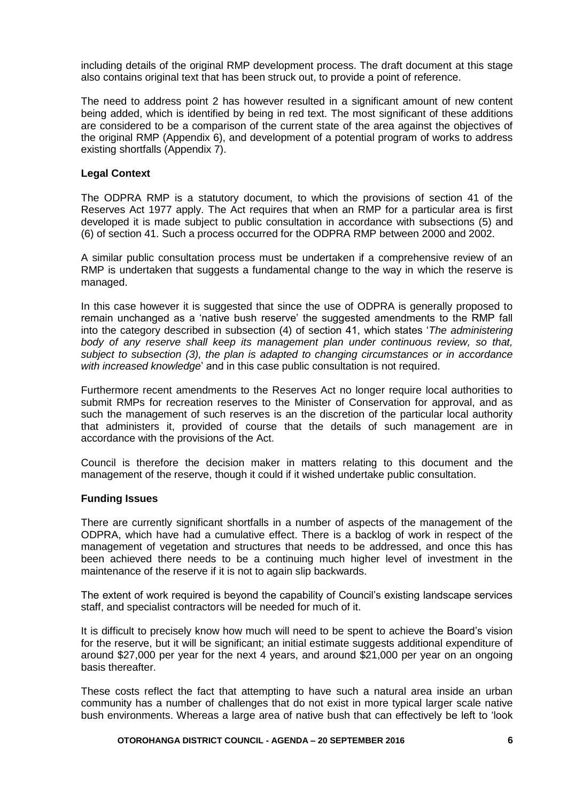including details of the original RMP development process. The draft document at this stage also contains original text that has been struck out, to provide a point of reference.

The need to address point 2 has however resulted in a significant amount of new content being added, which is identified by being in red text. The most significant of these additions are considered to be a comparison of the current state of the area against the objectives of the original RMP (Appendix 6), and development of a potential program of works to address existing shortfalls (Appendix 7).

#### **Legal Context**

The ODPRA RMP is a statutory document, to which the provisions of section 41 of the Reserves Act 1977 apply. The Act requires that when an RMP for a particular area is first developed it is made subject to public consultation in accordance with subsections (5) and (6) of section 41. Such a process occurred for the ODPRA RMP between 2000 and 2002.

A similar public consultation process must be undertaken if a comprehensive review of an RMP is undertaken that suggests a fundamental change to the way in which the reserve is managed.

In this case however it is suggested that since the use of ODPRA is generally proposed to remain unchanged as a 'native bush reserve' the suggested amendments to the RMP fall into the category described in subsection (4) of section 41, which states '*The administering body of any reserve shall keep its management plan under continuous review, so that, subject to subsection (3), the plan is adapted to changing circumstances or in accordance with increased knowledge*' and in this case public consultation is not required.

Furthermore recent amendments to the Reserves Act no longer require local authorities to submit RMPs for recreation reserves to the Minister of Conservation for approval, and as such the management of such reserves is an the discretion of the particular local authority that administers it, provided of course that the details of such management are in accordance with the provisions of the Act.

Council is therefore the decision maker in matters relating to this document and the management of the reserve, though it could if it wished undertake public consultation.

#### **Funding Issues**

There are currently significant shortfalls in a number of aspects of the management of the ODPRA, which have had a cumulative effect. There is a backlog of work in respect of the management of vegetation and structures that needs to be addressed, and once this has been achieved there needs to be a continuing much higher level of investment in the maintenance of the reserve if it is not to again slip backwards.

The extent of work required is beyond the capability of Council's existing landscape services staff, and specialist contractors will be needed for much of it.

It is difficult to precisely know how much will need to be spent to achieve the Board's vision for the reserve, but it will be significant; an initial estimate suggests additional expenditure of around \$27,000 per year for the next 4 years, and around \$21,000 per year on an ongoing basis thereafter.

These costs reflect the fact that attempting to have such a natural area inside an urban community has a number of challenges that do not exist in more typical larger scale native bush environments. Whereas a large area of native bush that can effectively be left to 'look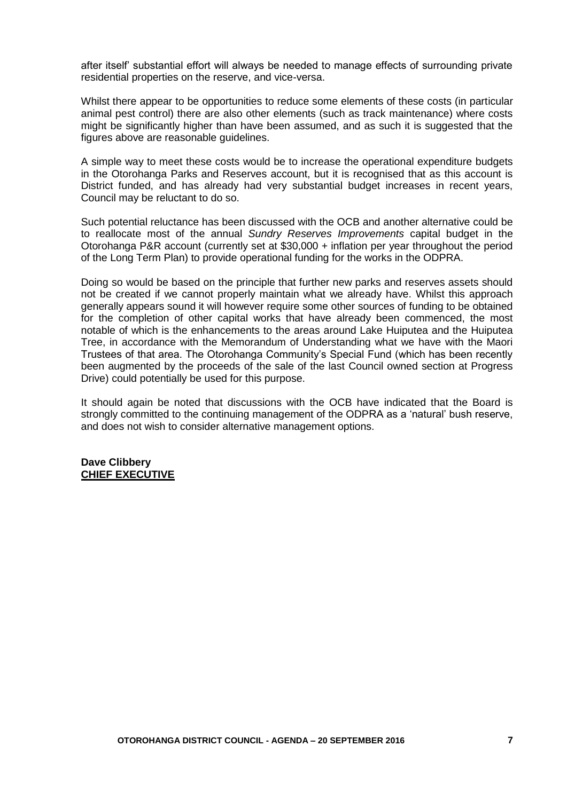after itself' substantial effort will always be needed to manage effects of surrounding private residential properties on the reserve, and vice-versa.

Whilst there appear to be opportunities to reduce some elements of these costs (in particular animal pest control) there are also other elements (such as track maintenance) where costs might be significantly higher than have been assumed, and as such it is suggested that the figures above are reasonable guidelines.

A simple way to meet these costs would be to increase the operational expenditure budgets in the Otorohanga Parks and Reserves account, but it is recognised that as this account is District funded, and has already had very substantial budget increases in recent years, Council may be reluctant to do so.

Such potential reluctance has been discussed with the OCB and another alternative could be to reallocate most of the annual *Sundry Reserves Improvements* capital budget in the Otorohanga P&R account (currently set at \$30,000 + inflation per year throughout the period of the Long Term Plan) to provide operational funding for the works in the ODPRA.

Doing so would be based on the principle that further new parks and reserves assets should not be created if we cannot properly maintain what we already have. Whilst this approach generally appears sound it will however require some other sources of funding to be obtained for the completion of other capital works that have already been commenced, the most notable of which is the enhancements to the areas around Lake Huiputea and the Huiputea Tree, in accordance with the Memorandum of Understanding what we have with the Maori Trustees of that area. The Otorohanga Community's Special Fund (which has been recently been augmented by the proceeds of the sale of the last Council owned section at Progress Drive) could potentially be used for this purpose.

It should again be noted that discussions with the OCB have indicated that the Board is strongly committed to the continuing management of the ODPRA as a 'natural' bush reserve, and does not wish to consider alternative management options.

#### **Dave Clibbery CHIEF EXECUTIVE**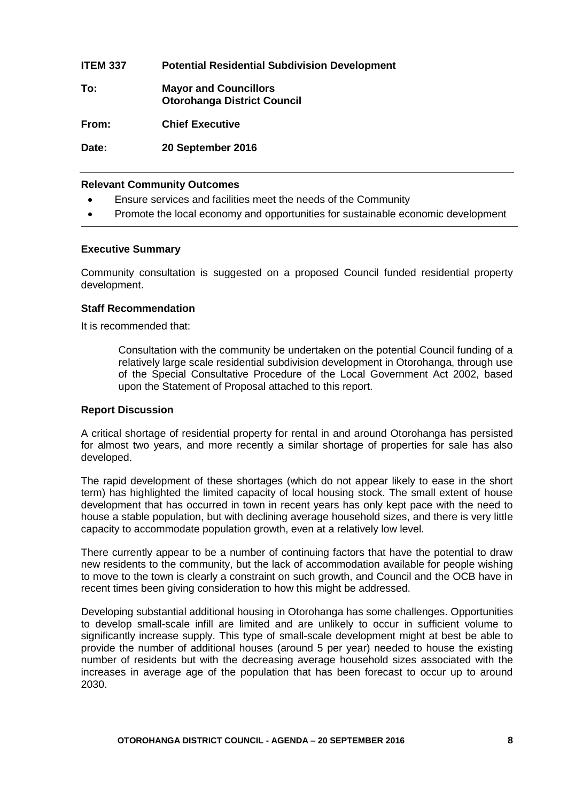| <b>ITEM 337</b> | <b>Potential Residential Subdivision Development</b>               |
|-----------------|--------------------------------------------------------------------|
| To:             | <b>Mayor and Councillors</b><br><b>Otorohanga District Council</b> |
| From:           | <b>Chief Executive</b>                                             |
| Date:           | 20 September 2016                                                  |

#### **Relevant Community Outcomes**

- Ensure services and facilities meet the needs of the Community
- Promote the local economy and opportunities for sustainable economic development

#### **Executive Summary**

Community consultation is suggested on a proposed Council funded residential property development.

#### **Staff Recommendation**

It is recommended that:

Consultation with the community be undertaken on the potential Council funding of a relatively large scale residential subdivision development in Otorohanga, through use of the Special Consultative Procedure of the Local Government Act 2002, based upon the Statement of Proposal attached to this report.

#### **Report Discussion**

A critical shortage of residential property for rental in and around Otorohanga has persisted for almost two years, and more recently a similar shortage of properties for sale has also developed.

The rapid development of these shortages (which do not appear likely to ease in the short term) has highlighted the limited capacity of local housing stock. The small extent of house development that has occurred in town in recent years has only kept pace with the need to house a stable population, but with declining average household sizes, and there is very little capacity to accommodate population growth, even at a relatively low level.

There currently appear to be a number of continuing factors that have the potential to draw new residents to the community, but the lack of accommodation available for people wishing to move to the town is clearly a constraint on such growth, and Council and the OCB have in recent times been giving consideration to how this might be addressed.

Developing substantial additional housing in Otorohanga has some challenges. Opportunities to develop small-scale infill are limited and are unlikely to occur in sufficient volume to significantly increase supply. This type of small-scale development might at best be able to provide the number of additional houses (around 5 per year) needed to house the existing number of residents but with the decreasing average household sizes associated with the increases in average age of the population that has been forecast to occur up to around 2030.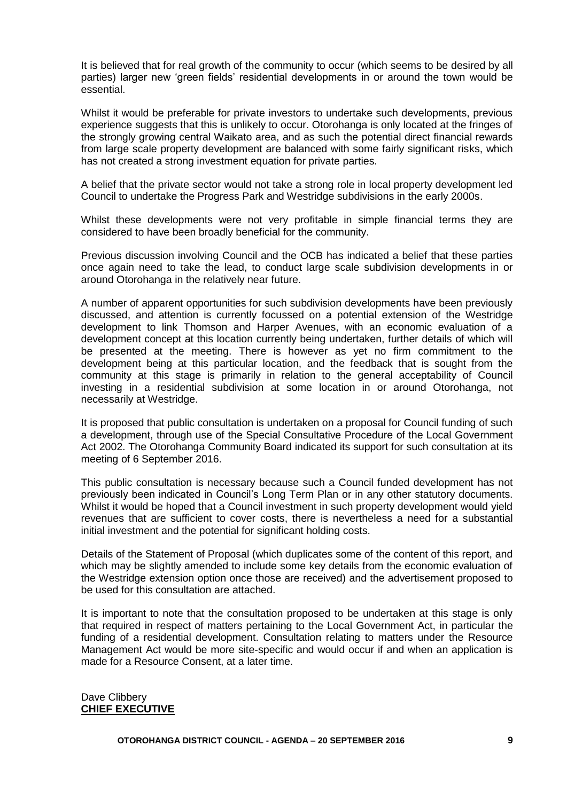It is believed that for real growth of the community to occur (which seems to be desired by all parties) larger new 'green fields' residential developments in or around the town would be essential.

Whilst it would be preferable for private investors to undertake such developments, previous experience suggests that this is unlikely to occur. Otorohanga is only located at the fringes of the strongly growing central Waikato area, and as such the potential direct financial rewards from large scale property development are balanced with some fairly significant risks, which has not created a strong investment equation for private parties.

A belief that the private sector would not take a strong role in local property development led Council to undertake the Progress Park and Westridge subdivisions in the early 2000s.

Whilst these developments were not very profitable in simple financial terms they are considered to have been broadly beneficial for the community.

Previous discussion involving Council and the OCB has indicated a belief that these parties once again need to take the lead, to conduct large scale subdivision developments in or around Otorohanga in the relatively near future.

A number of apparent opportunities for such subdivision developments have been previously discussed, and attention is currently focussed on a potential extension of the Westridge development to link Thomson and Harper Avenues, with an economic evaluation of a development concept at this location currently being undertaken, further details of which will be presented at the meeting. There is however as yet no firm commitment to the development being at this particular location, and the feedback that is sought from the community at this stage is primarily in relation to the general acceptability of Council investing in a residential subdivision at some location in or around Otorohanga, not necessarily at Westridge.

It is proposed that public consultation is undertaken on a proposal for Council funding of such a development, through use of the Special Consultative Procedure of the Local Government Act 2002. The Otorohanga Community Board indicated its support for such consultation at its meeting of 6 September 2016.

This public consultation is necessary because such a Council funded development has not previously been indicated in Council's Long Term Plan or in any other statutory documents. Whilst it would be hoped that a Council investment in such property development would yield revenues that are sufficient to cover costs, there is nevertheless a need for a substantial initial investment and the potential for significant holding costs.

Details of the Statement of Proposal (which duplicates some of the content of this report, and which may be slightly amended to include some key details from the economic evaluation of the Westridge extension option once those are received) and the advertisement proposed to be used for this consultation are attached.

It is important to note that the consultation proposed to be undertaken at this stage is only that required in respect of matters pertaining to the Local Government Act, in particular the funding of a residential development. Consultation relating to matters under the Resource Management Act would be more site-specific and would occur if and when an application is made for a Resource Consent, at a later time.

#### Dave Clibbery **CHIEF EXECUTIVE**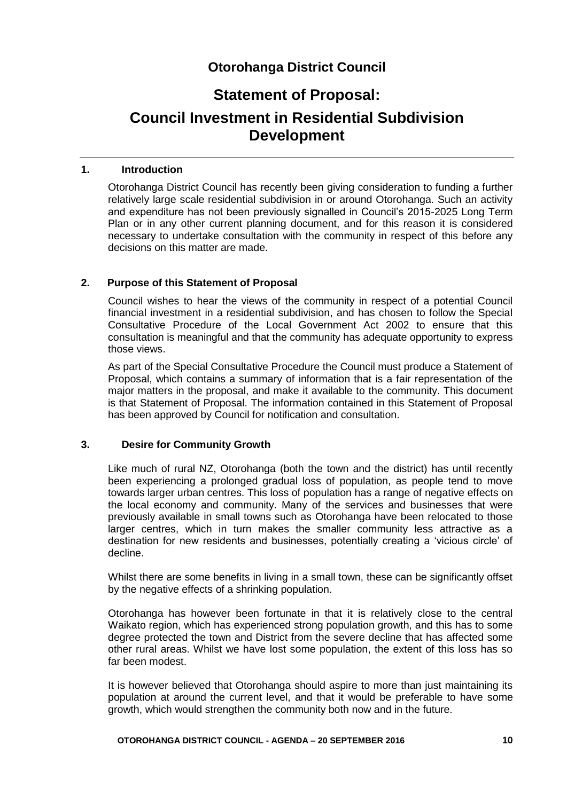# **Otorohanga District Council**

# **Statement of Proposal:**

# **Council Investment in Residential Subdivision Development**

#### **1. Introduction**

Otorohanga District Council has recently been giving consideration to funding a further relatively large scale residential subdivision in or around Otorohanga. Such an activity and expenditure has not been previously signalled in Council's 2015-2025 Long Term Plan or in any other current planning document, and for this reason it is considered necessary to undertake consultation with the community in respect of this before any decisions on this matter are made.

#### **2. Purpose of this Statement of Proposal**

Council wishes to hear the views of the community in respect of a potential Council financial investment in a residential subdivision, and has chosen to follow the Special Consultative Procedure of the Local Government Act 2002 to ensure that this consultation is meaningful and that the community has adequate opportunity to express those views.

As part of the Special Consultative Procedure the Council must produce a Statement of Proposal, which contains a summary of information that is a fair representation of the major matters in the proposal, and make it available to the community. This document is that Statement of Proposal. The information contained in this Statement of Proposal has been approved by Council for notification and consultation.

#### **3. Desire for Community Growth**

Like much of rural NZ, Otorohanga (both the town and the district) has until recently been experiencing a prolonged gradual loss of population, as people tend to move towards larger urban centres. This loss of population has a range of negative effects on the local economy and community. Many of the services and businesses that were previously available in small towns such as Otorohanga have been relocated to those larger centres, which in turn makes the smaller community less attractive as a destination for new residents and businesses, potentially creating a 'vicious circle' of decline.

Whilst there are some benefits in living in a small town, these can be significantly offset by the negative effects of a shrinking population.

Otorohanga has however been fortunate in that it is relatively close to the central Waikato region, which has experienced strong population growth, and this has to some degree protected the town and District from the severe decline that has affected some other rural areas. Whilst we have lost some population, the extent of this loss has so far been modest.

It is however believed that Otorohanga should aspire to more than just maintaining its population at around the current level, and that it would be preferable to have some growth, which would strengthen the community both now and in the future.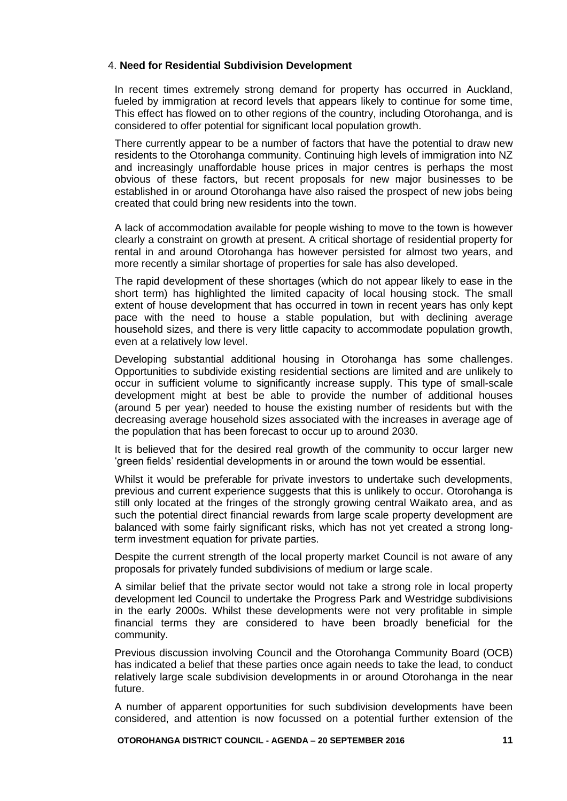#### 4. **Need for Residential Subdivision Development**

In recent times extremely strong demand for property has occurred in Auckland, fueled by immigration at record levels that appears likely to continue for some time. This effect has flowed on to other regions of the country, including Otorohanga, and is considered to offer potential for significant local population growth.

There currently appear to be a number of factors that have the potential to draw new residents to the Otorohanga community. Continuing high levels of immigration into NZ and increasingly unaffordable house prices in major centres is perhaps the most obvious of these factors, but recent proposals for new major businesses to be established in or around Otorohanga have also raised the prospect of new jobs being created that could bring new residents into the town.

A lack of accommodation available for people wishing to move to the town is however clearly a constraint on growth at present. A critical shortage of residential property for rental in and around Otorohanga has however persisted for almost two years, and more recently a similar shortage of properties for sale has also developed.

The rapid development of these shortages (which do not appear likely to ease in the short term) has highlighted the limited capacity of local housing stock. The small extent of house development that has occurred in town in recent years has only kept pace with the need to house a stable population, but with declining average household sizes, and there is very little capacity to accommodate population growth, even at a relatively low level.

Developing substantial additional housing in Otorohanga has some challenges. Opportunities to subdivide existing residential sections are limited and are unlikely to occur in sufficient volume to significantly increase supply. This type of small-scale development might at best be able to provide the number of additional houses (around 5 per year) needed to house the existing number of residents but with the decreasing average household sizes associated with the increases in average age of the population that has been forecast to occur up to around 2030.

It is believed that for the desired real growth of the community to occur larger new 'green fields' residential developments in or around the town would be essential.

Whilst it would be preferable for private investors to undertake such developments, previous and current experience suggests that this is unlikely to occur. Otorohanga is still only located at the fringes of the strongly growing central Waikato area, and as such the potential direct financial rewards from large scale property development are balanced with some fairly significant risks, which has not yet created a strong longterm investment equation for private parties.

Despite the current strength of the local property market Council is not aware of any proposals for privately funded subdivisions of medium or large scale.

A similar belief that the private sector would not take a strong role in local property development led Council to undertake the Progress Park and Westridge subdivisions in the early 2000s. Whilst these developments were not very profitable in simple financial terms they are considered to have been broadly beneficial for the community.

Previous discussion involving Council and the Otorohanga Community Board (OCB) has indicated a belief that these parties once again needs to take the lead, to conduct relatively large scale subdivision developments in or around Otorohanga in the near future.

A number of apparent opportunities for such subdivision developments have been considered, and attention is now focussed on a potential further extension of the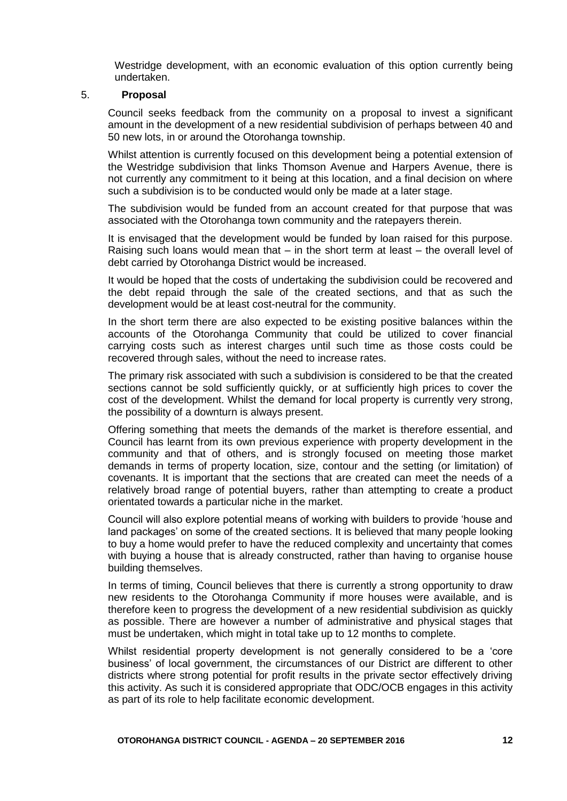Westridge development, with an economic evaluation of this option currently being undertaken.

#### 5. **Proposal**

Council seeks feedback from the community on a proposal to invest a significant amount in the development of a new residential subdivision of perhaps between 40 and 50 new lots, in or around the Otorohanga township.

Whilst attention is currently focused on this development being a potential extension of the Westridge subdivision that links Thomson Avenue and Harpers Avenue, there is not currently any commitment to it being at this location, and a final decision on where such a subdivision is to be conducted would only be made at a later stage.

The subdivision would be funded from an account created for that purpose that was associated with the Otorohanga town community and the ratepayers therein.

It is envisaged that the development would be funded by loan raised for this purpose. Raising such loans would mean that  $-$  in the short term at least  $-$  the overall level of debt carried by Otorohanga District would be increased.

It would be hoped that the costs of undertaking the subdivision could be recovered and the debt repaid through the sale of the created sections, and that as such the development would be at least cost-neutral for the community.

In the short term there are also expected to be existing positive balances within the accounts of the Otorohanga Community that could be utilized to cover financial carrying costs such as interest charges until such time as those costs could be recovered through sales, without the need to increase rates.

The primary risk associated with such a subdivision is considered to be that the created sections cannot be sold sufficiently quickly, or at sufficiently high prices to cover the cost of the development. Whilst the demand for local property is currently very strong, the possibility of a downturn is always present.

Offering something that meets the demands of the market is therefore essential, and Council has learnt from its own previous experience with property development in the community and that of others, and is strongly focused on meeting those market demands in terms of property location, size, contour and the setting (or limitation) of covenants. It is important that the sections that are created can meet the needs of a relatively broad range of potential buyers, rather than attempting to create a product orientated towards a particular niche in the market.

Council will also explore potential means of working with builders to provide 'house and land packages' on some of the created sections. It is believed that many people looking to buy a home would prefer to have the reduced complexity and uncertainty that comes with buying a house that is already constructed, rather than having to organise house building themselves.

In terms of timing, Council believes that there is currently a strong opportunity to draw new residents to the Otorohanga Community if more houses were available, and is therefore keen to progress the development of a new residential subdivision as quickly as possible. There are however a number of administrative and physical stages that must be undertaken, which might in total take up to 12 months to complete.

Whilst residential property development is not generally considered to be a 'core business' of local government, the circumstances of our District are different to other districts where strong potential for profit results in the private sector effectively driving this activity. As such it is considered appropriate that ODC/OCB engages in this activity as part of its role to help facilitate economic development.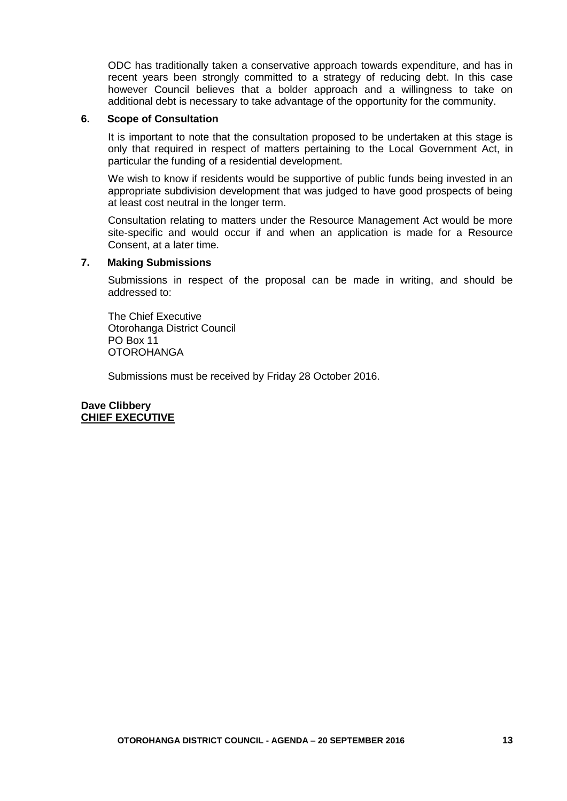ODC has traditionally taken a conservative approach towards expenditure, and has in recent years been strongly committed to a strategy of reducing debt. In this case however Council believes that a bolder approach and a willingness to take on additional debt is necessary to take advantage of the opportunity for the community.

#### **6. Scope of Consultation**

It is important to note that the consultation proposed to be undertaken at this stage is only that required in respect of matters pertaining to the Local Government Act, in particular the funding of a residential development.

We wish to know if residents would be supportive of public funds being invested in an appropriate subdivision development that was judged to have good prospects of being at least cost neutral in the longer term.

Consultation relating to matters under the Resource Management Act would be more site-specific and would occur if and when an application is made for a Resource Consent, at a later time.

#### **7. Making Submissions**

Submissions in respect of the proposal can be made in writing, and should be addressed to:

The Chief Executive Otorohanga District Council PO Box 11 **OTOROHANGA** 

Submissions must be received by Friday 28 October 2016.

**Dave Clibbery CHIEF EXECUTIVE**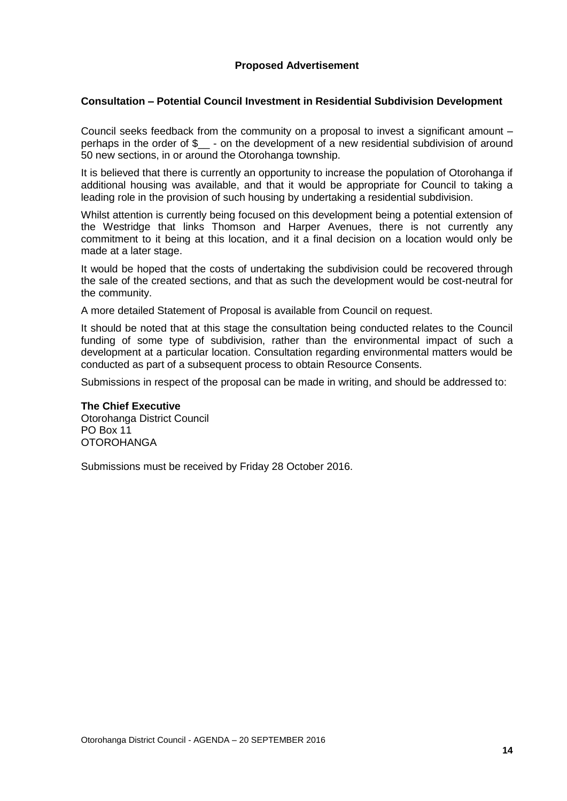#### **Proposed Advertisement**

#### **Consultation – Potential Council Investment in Residential Subdivision Development**

Council seeks feedback from the community on a proposal to invest a significant amount – perhaps in the order of \$ - on the development of a new residential subdivision of around 50 new sections, in or around the Otorohanga township.

It is believed that there is currently an opportunity to increase the population of Otorohanga if additional housing was available, and that it would be appropriate for Council to taking a leading role in the provision of such housing by undertaking a residential subdivision.

Whilst attention is currently being focused on this development being a potential extension of the Westridge that links Thomson and Harper Avenues, there is not currently any commitment to it being at this location, and it a final decision on a location would only be made at a later stage.

It would be hoped that the costs of undertaking the subdivision could be recovered through the sale of the created sections, and that as such the development would be cost-neutral for the community.

A more detailed Statement of Proposal is available from Council on request.

It should be noted that at this stage the consultation being conducted relates to the Council funding of some type of subdivision, rather than the environmental impact of such a development at a particular location. Consultation regarding environmental matters would be conducted as part of a subsequent process to obtain Resource Consents.

Submissions in respect of the proposal can be made in writing, and should be addressed to:

#### **The Chief Executive**

Otorohanga District Council PO Box 11 **OTOROHANGA** 

Submissions must be received by Friday 28 October 2016.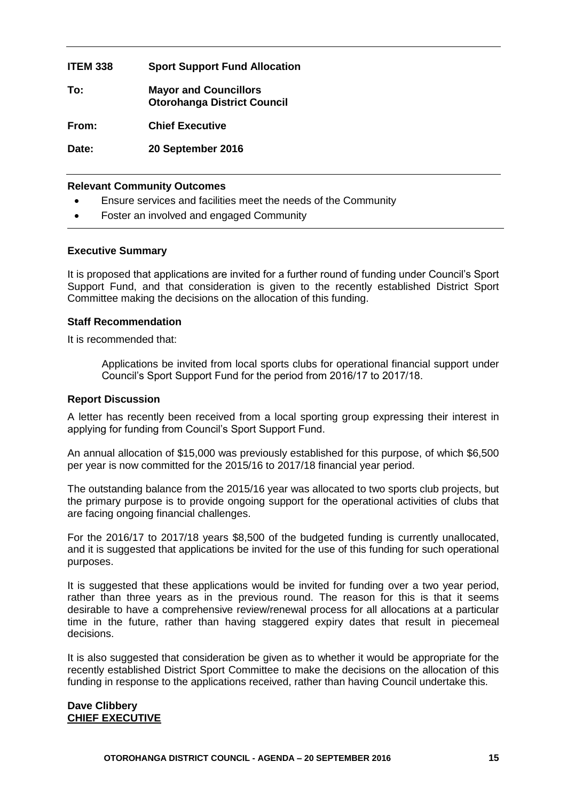#### **ITEM 338 Sport Support Fund Allocation**

**To: Mayor and Councillors Otorohanga District Council From: Chief Executive**

**Date: 20 September 2016**

#### **Relevant Community Outcomes**

- Ensure services and facilities meet the needs of the Community
- Foster an involved and engaged Community

#### **Executive Summary**

It is proposed that applications are invited for a further round of funding under Council's Sport Support Fund, and that consideration is given to the recently established District Sport Committee making the decisions on the allocation of this funding.

#### **Staff Recommendation**

It is recommended that:

Applications be invited from local sports clubs for operational financial support under Council's Sport Support Fund for the period from 2016/17 to 2017/18.

#### **Report Discussion**

A letter has recently been received from a local sporting group expressing their interest in applying for funding from Council's Sport Support Fund.

An annual allocation of \$15,000 was previously established for this purpose, of which \$6,500 per year is now committed for the 2015/16 to 2017/18 financial year period.

The outstanding balance from the 2015/16 year was allocated to two sports club projects, but the primary purpose is to provide ongoing support for the operational activities of clubs that are facing ongoing financial challenges.

For the 2016/17 to 2017/18 years \$8,500 of the budgeted funding is currently unallocated, and it is suggested that applications be invited for the use of this funding for such operational purposes.

It is suggested that these applications would be invited for funding over a two year period, rather than three years as in the previous round. The reason for this is that it seems desirable to have a comprehensive review/renewal process for all allocations at a particular time in the future, rather than having staggered expiry dates that result in piecemeal decisions.

It is also suggested that consideration be given as to whether it would be appropriate for the recently established District Sport Committee to make the decisions on the allocation of this funding in response to the applications received, rather than having Council undertake this.

#### **Dave Clibbery CHIEF EXECUTIVE**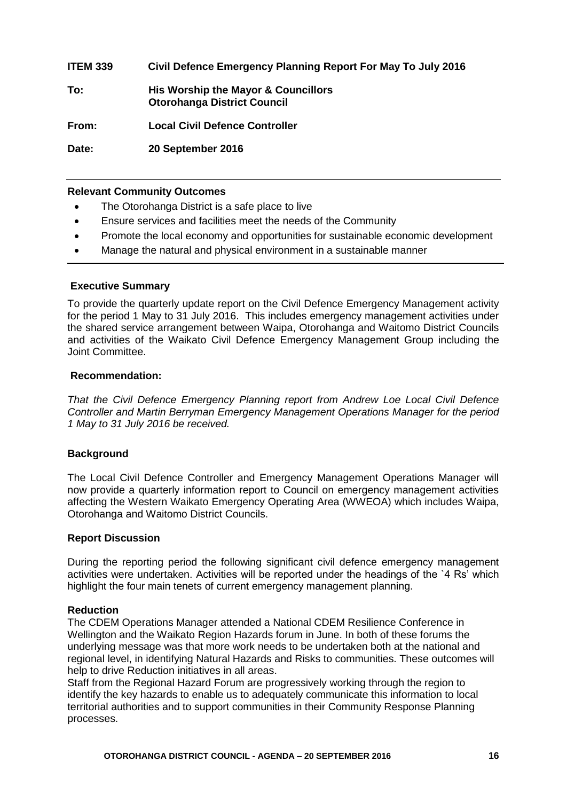**ITEM 339 Civil Defence Emergency Planning Report For May To July 2016 To: His Worship the Mayor & Councillors Otorohanga District Council From: Local Civil Defence Controller Date: 20 September 2016**

#### **Relevant Community Outcomes**

- The Otorohanga District is a safe place to live
- Ensure services and facilities meet the needs of the Community
- Promote the local economy and opportunities for sustainable economic development
- Manage the natural and physical environment in a sustainable manner

#### **Executive Summary**

To provide the quarterly update report on the Civil Defence Emergency Management activity for the period 1 May to 31 July 2016. This includes emergency management activities under the shared service arrangement between Waipa, Otorohanga and Waitomo District Councils and activities of the Waikato Civil Defence Emergency Management Group including the Joint Committee.

#### **Recommendation:**

*That the Civil Defence Emergency Planning report from Andrew Loe Local Civil Defence Controller and Martin Berryman Emergency Management Operations Manager for the period 1 May to 31 July 2016 be received.*

#### **Background**

The Local Civil Defence Controller and Emergency Management Operations Manager will now provide a quarterly information report to Council on emergency management activities affecting the Western Waikato Emergency Operating Area (WWEOA) which includes Waipa, Otorohanga and Waitomo District Councils.

#### **Report Discussion**

During the reporting period the following significant civil defence emergency management activities were undertaken. Activities will be reported under the headings of the `4 Rs' which highlight the four main tenets of current emergency management planning.

#### **Reduction**

The CDEM Operations Manager attended a National CDEM Resilience Conference in Wellington and the Waikato Region Hazards forum in June. In both of these forums the underlying message was that more work needs to be undertaken both at the national and regional level, in identifying Natural Hazards and Risks to communities. These outcomes will help to drive Reduction initiatives in all areas.

Staff from the Regional Hazard Forum are progressively working through the region to identify the key hazards to enable us to adequately communicate this information to local territorial authorities and to support communities in their Community Response Planning processes.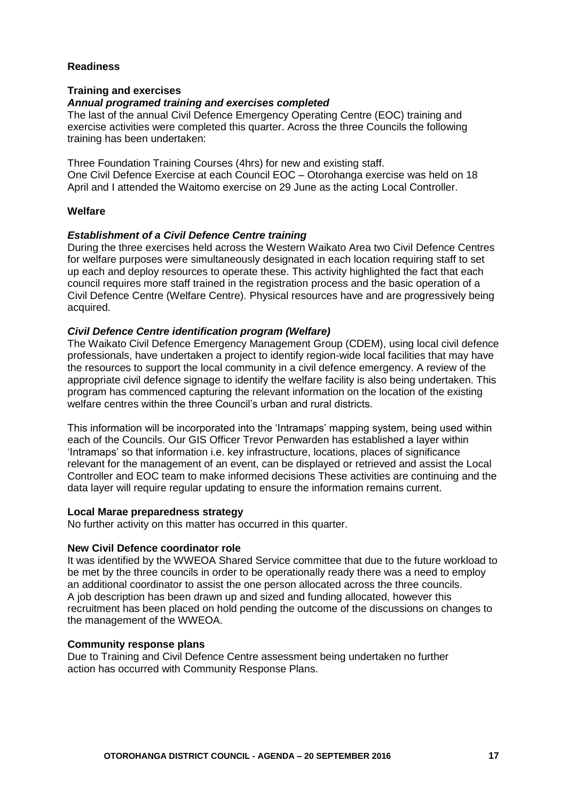#### **Readiness**

#### **Training and exercises**

#### *Annual programed training and exercises completed*

The last of the annual Civil Defence Emergency Operating Centre (EOC) training and exercise activities were completed this quarter. Across the three Councils the following training has been undertaken: **training**

Three Foundation Training Courses (4hrs) for new and existing staff. One Civil Defence Exercise at each Council EOC – Otorohanga exercise was held on 18 April and I attended the Waitomo exercise on 29 June as the acting Local Controller.

#### **Welfare**

#### *Establishment of a Civil Defence Centre training*

During the three exercises held across the Western Waikato Area two Civil Defence Centres for welfare purposes were simultaneously designated in each location requiring staff to set up each and deploy resources to operate these. This activity highlighted the fact that each council requires more staff trained in the registration process and the basic operation of a Civil Defence Centre (Welfare Centre). Physical resources have and are progressively being acquired.

#### *Civil Defence Centre identification program (Welfare)*

The Waikato Civil Defence Emergency Management Group (CDEM), using local civil defence professionals, have undertaken a project to identify region-wide local facilities that may have the resources to support the local community in a civil defence emergency. A review of the appropriate civil defence signage to identify the welfare facility is also being undertaken. This program has commenced capturing the relevant information on the location of the existing welfare centres within the three Council's urban and rural districts.

This information will be incorporated into the 'Intramaps' mapping system, being used within each of the Councils. Our GIS Officer Trevor Penwarden has established a layer within 'Intramaps' so that information i.e. key infrastructure, locations, places of significance relevant for the management of an event, can be displayed or retrieved and assist the Local Controller and EOC team to make informed decisions These activities are continuing and the data layer will require regular updating to ensure the information remains current.

#### **Local Marae preparedness strategy**

No further activity on this matter has occurred in this quarter.

#### **New Civil Defence coordinator role**

It was identified by the WWEOA Shared Service committee that due to the future workload to be met by the three councils in order to be operationally ready there was a need to employ an additional coordinator to assist the one person allocated across the three councils. A job description has been drawn up and sized and funding allocated, however this recruitment has been placed on hold pending the outcome of the discussions on changes to the management of the WWEOA.

#### **Community response plans**

Due to Training and Civil Defence Centre assessment being undertaken no further action has occurred with Community Response Plans.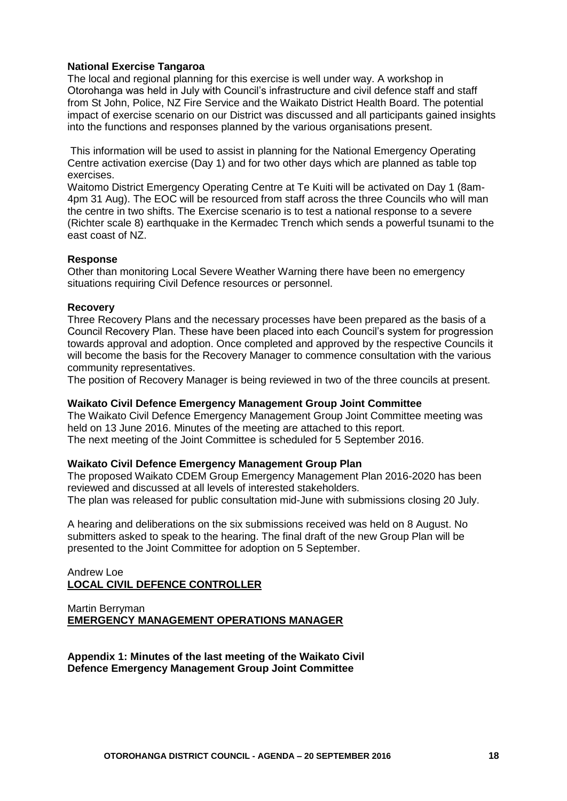#### **National Exercise Tangaroa**

The local and regional planning for this exercise is well under way. A workshop in Otorohanga was held in July with Council's infrastructure and civil defence staff and staff from St John, Police, NZ Fire Service and the Waikato District Health Board. The potential impact of exercise scenario on our District was discussed and all participants gained insights into the functions and responses planned by the various organisations present.

This information will be used to assist in planning for the National Emergency Operating Centre activation exercise (Day 1) and for two other days which are planned as table top exercises.

Waitomo District Emergency Operating Centre at Te Kuiti will be activated on Day 1 (8am-4pm 31 Aug). The EOC will be resourced from staff across the three Councils who will man the centre in two shifts. The Exercise scenario is to test a national response to a severe (Richter scale 8) earthquake in the Kermadec Trench which sends a powerful tsunami to the east coast of NZ.

#### **Response**

Other than monitoring Local Severe Weather Warning there have been no emergency situations requiring Civil Defence resources or personnel.

#### **Recovery**

Three Recovery Plans and the necessary processes have been prepared as the basis of a Council Recovery Plan. These have been placed into each Council's system for progression towards approval and adoption. Once completed and approved by the respective Councils it will become the basis for the Recovery Manager to commence consultation with the various community representatives.

The position of Recovery Manager is being reviewed in two of the three councils at present.

#### **Waikato Civil Defence Emergency Management Group Joint Committee**

The Waikato Civil Defence Emergency Management Group Joint Committee meeting was held on 13 June 2016. Minutes of the meeting are attached to this report. The next meeting of the Joint Committee is scheduled for 5 September 2016.

#### **Waikato Civil Defence Emergency Management Group Plan**

The proposed Waikato CDEM Group Emergency Management Plan 2016-2020 has been reviewed and discussed at all levels of interested stakeholders. The plan was released for public consultation mid-June with submissions closing 20 July.

A hearing and deliberations on the six submissions received was held on 8 August. No submitters asked to speak to the hearing. The final draft of the new Group Plan will be presented to the Joint Committee for adoption on 5 September.

#### Andrew Loe **LOCAL CIVIL DEFENCE CONTROLLER**

#### Martin Berryman **EMERGENCY MANAGEMENT OPERATIONS MANAGER**

**Appendix 1: Minutes of the last meeting of the Waikato Civil Defence Emergency Management Group Joint Committee**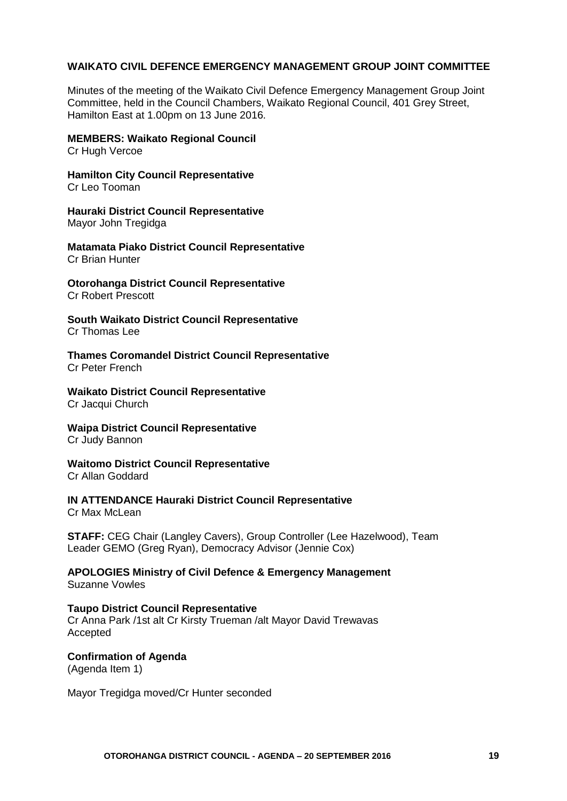#### **WAIKATO CIVIL DEFENCE EMERGENCY MANAGEMENT GROUP JOINT COMMITTEE**

Minutes of the meeting of the Waikato Civil Defence Emergency Management Group Joint Committee, held in the Council Chambers, Waikato Regional Council, 401 Grey Street, Hamilton East at 1.00pm on 13 June 2016.

#### **MEMBERS: Waikato Regional Council**

Cr Hugh Vercoe

**Hamilton City Council Representative** Cr Leo Tooman

**Hauraki District Council Representative** Mayor John Tregidga

**Matamata Piako District Council Representative** Cr Brian Hunter

#### **Otorohanga District Council Representative** Cr Robert Prescott

**South Waikato District Council Representative** Cr Thomas Lee

**Thames Coromandel District Council Representative** Cr Peter French

**Waikato District Council Representative** Cr Jacqui Church

#### **Waipa District Council Representative** Cr Judy Bannon

**Waitomo District Council Representative** Cr Allan Goddard

#### **IN ATTENDANCE Hauraki District Council Representative** Cr Max McLean

**STAFF:** CEG Chair (Langley Cavers), Group Controller (Lee Hazelwood), Team Leader GEMO (Greg Ryan), Democracy Advisor (Jennie Cox)

**APOLOGIES Ministry of Civil Defence & Emergency Management** Suzanne Vowles

#### **Taupo District Council Representative**

Cr Anna Park /1st alt Cr Kirsty Trueman /alt Mayor David Trewavas Accepted

#### **Confirmation of Agenda** (Agenda Item 1)

Mayor Tregidga moved/Cr Hunter seconded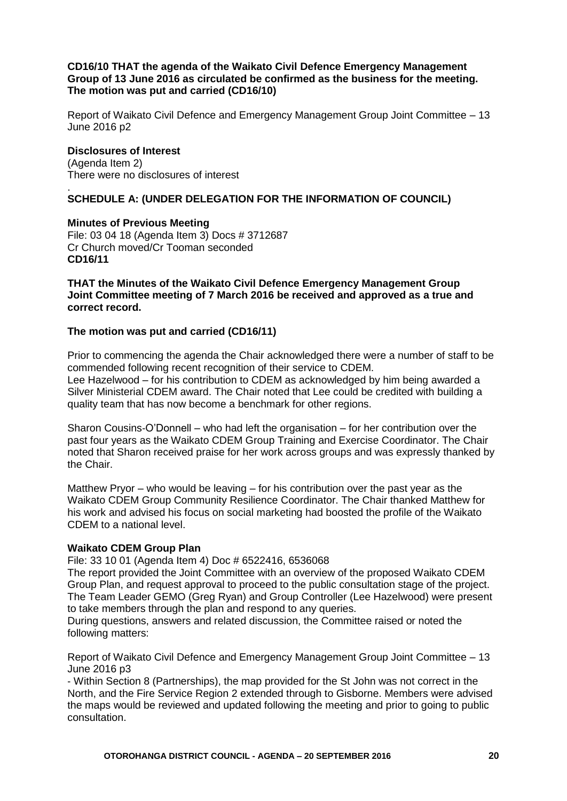#### **CD16/10 THAT the agenda of the Waikato Civil Defence Emergency Management Group of 13 June 2016 as circulated be confirmed as the business for the meeting. The motion was put and carried (CD16/10)**

Report of Waikato Civil Defence and Emergency Management Group Joint Committee – 13 June 2016 p2

#### **Disclosures of Interest**

(Agenda Item 2) There were no disclosures of interest

#### . **SCHEDULE A: (UNDER DELEGATION FOR THE INFORMATION OF COUNCIL)**

#### **Minutes of Previous Meeting**

File: 03 04 18 (Agenda Item 3) Docs # 3712687 Cr Church moved/Cr Tooman seconded **CD16/11**

#### **THAT the Minutes of the Waikato Civil Defence Emergency Management Group Joint Committee meeting of 7 March 2016 be received and approved as a true and correct record.**

#### **The motion was put and carried (CD16/11)**

Prior to commencing the agenda the Chair acknowledged there were a number of staff to be commended following recent recognition of their service to CDEM. Lee Hazelwood – for his contribution to CDEM as acknowledged by him being awarded a Silver Ministerial CDEM award. The Chair noted that Lee could be credited with building a quality team that has now become a benchmark for other regions.

Sharon Cousins‐O'Donnell – who had left the organisation – for her contribution over the past four years as the Waikato CDEM Group Training and Exercise Coordinator. The Chair noted that Sharon received praise for her work across groups and was expressly thanked by the Chair.

Matthew Pryor – who would be leaving – for his contribution over the past year as the Waikato CDEM Group Community Resilience Coordinator. The Chair thanked Matthew for his work and advised his focus on social marketing had boosted the profile of the Waikato CDEM to a national level.

#### **Waikato CDEM Group Plan**

File: 33 10 01 (Agenda Item 4) Doc # 6522416, 6536068

The report provided the Joint Committee with an overview of the proposed Waikato CDEM Group Plan, and request approval to proceed to the public consultation stage of the project. The Team Leader GEMO (Greg Ryan) and Group Controller (Lee Hazelwood) were present to take members through the plan and respond to any queries.

During questions, answers and related discussion, the Committee raised or noted the following matters:

Report of Waikato Civil Defence and Emergency Management Group Joint Committee – 13 June 2016 p3

‐ Within Section 8 (Partnerships), the map provided for the St John was not correct in the North, and the Fire Service Region 2 extended through to Gisborne. Members were advised the maps would be reviewed and updated following the meeting and prior to going to public consultation.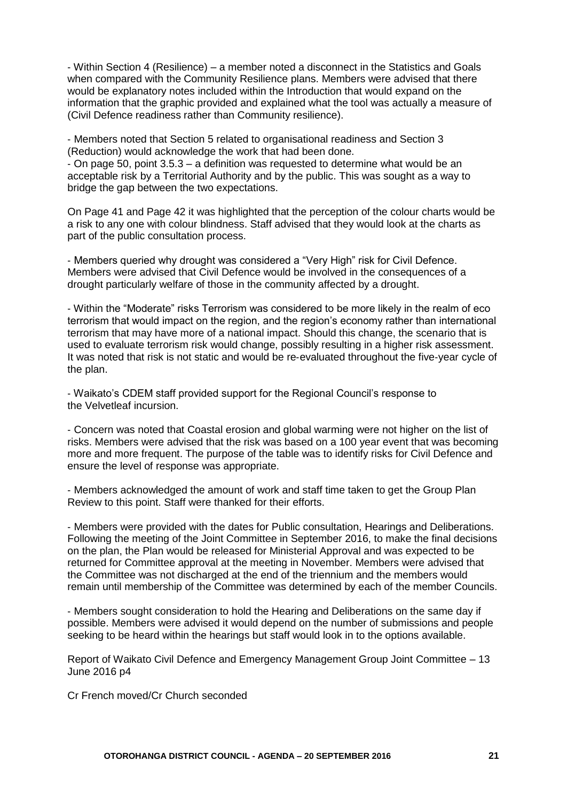‐ Within Section 4 (Resilience) – a member noted a disconnect in the Statistics and Goals when compared with the Community Resilience plans. Members were advised that there would be explanatory notes included within the Introduction that would expand on the information that the graphic provided and explained what the tool was actually a measure of (Civil Defence readiness rather than Community resilience).

‐ Members noted that Section 5 related to organisational readiness and Section 3 (Reduction) would acknowledge the work that had been done.

‐ On page 50, point 3.5.3 – a definition was requested to determine what would be an acceptable risk by a Territorial Authority and by the public. This was sought as a way to bridge the gap between the two expectations.

On Page 41 and Page 42 it was highlighted that the perception of the colour charts would be a risk to any one with colour blindness. Staff advised that they would look at the charts as part of the public consultation process.

‐ Members queried why drought was considered a "Very High" risk for Civil Defence. Members were advised that Civil Defence would be involved in the consequences of a drought particularly welfare of those in the community affected by a drought.

‐ Within the "Moderate" risks Terrorism was considered to be more likely in the realm of eco terrorism that would impact on the region, and the region's economy rather than international terrorism that may have more of a national impact. Should this change, the scenario that is used to evaluate terrorism risk would change, possibly resulting in a higher risk assessment. It was noted that risk is not static and would be re‐evaluated throughout the five‐year cycle of the plan.

‐ Waikato's CDEM staff provided support for the Regional Council's response to the Velvetleaf incursion.

‐ Concern was noted that Coastal erosion and global warming were not higher on the list of risks. Members were advised that the risk was based on a 100 year event that was becoming more and more frequent. The purpose of the table was to identify risks for Civil Defence and ensure the level of response was appropriate.

‐ Members acknowledged the amount of work and staff time taken to get the Group Plan Review to this point. Staff were thanked for their efforts.

‐ Members were provided with the dates for Public consultation, Hearings and Deliberations. Following the meeting of the Joint Committee in September 2016, to make the final decisions on the plan, the Plan would be released for Ministerial Approval and was expected to be returned for Committee approval at the meeting in November. Members were advised that the Committee was not discharged at the end of the triennium and the members would remain until membership of the Committee was determined by each of the member Councils.

‐ Members sought consideration to hold the Hearing and Deliberations on the same day if possible. Members were advised it would depend on the number of submissions and people seeking to be heard within the hearings but staff would look in to the options available.

Report of Waikato Civil Defence and Emergency Management Group Joint Committee – 13 June 2016 p4

Cr French moved/Cr Church seconded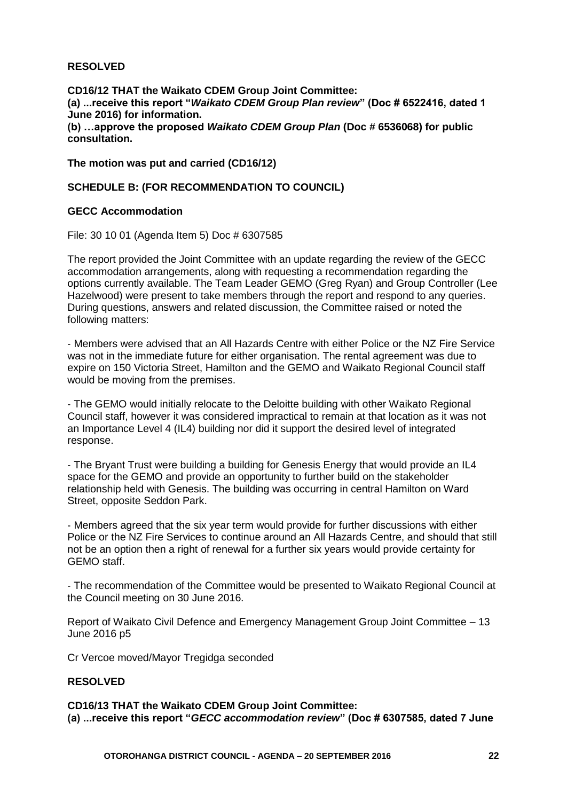#### **RESOLVED**

**CD16/12 THAT the Waikato CDEM Group Joint Committee: (a) ...receive this report "***Waikato CDEM Group Plan review***" (Doc # 6522416, dated 1 June 2016) for information. (b) …approve the proposed** *Waikato CDEM Group Plan* **(Doc # 6536068) for public consultation.**

**The motion was put and carried (CD16/12)**

#### **SCHEDULE B: (FOR RECOMMENDATION TO COUNCIL)**

#### **GECC Accommodation**

File: 30 10 01 (Agenda Item 5) Doc # 6307585

The report provided the Joint Committee with an update regarding the review of the GECC accommodation arrangements, along with requesting a recommendation regarding the options currently available. The Team Leader GEMO (Greg Ryan) and Group Controller (Lee Hazelwood) were present to take members through the report and respond to any queries. During questions, answers and related discussion, the Committee raised or noted the following matters:

‐ Members were advised that an All Hazards Centre with either Police or the NZ Fire Service was not in the immediate future for either organisation. The rental agreement was due to expire on 150 Victoria Street, Hamilton and the GEMO and Waikato Regional Council staff would be moving from the premises.

‐ The GEMO would initially relocate to the Deloitte building with other Waikato Regional Council staff, however it was considered impractical to remain at that location as it was not an Importance Level 4 (IL4) building nor did it support the desired level of integrated response.

‐ The Bryant Trust were building a building for Genesis Energy that would provide an IL4 space for the GEMO and provide an opportunity to further build on the stakeholder relationship held with Genesis. The building was occurring in central Hamilton on Ward Street, opposite Seddon Park.

‐ Members agreed that the six year term would provide for further discussions with either Police or the NZ Fire Services to continue around an All Hazards Centre, and should that still not be an option then a right of renewal for a further six years would provide certainty for GEMO staff.

‐ The recommendation of the Committee would be presented to Waikato Regional Council at the Council meeting on 30 June 2016.

Report of Waikato Civil Defence and Emergency Management Group Joint Committee – 13 June 2016 p5

Cr Vercoe moved/Mayor Tregidga seconded

#### **RESOLVED**

**CD16/13 THAT the Waikato CDEM Group Joint Committee: (a) ...receive this report "***GECC accommodation review***" (Doc # 6307585, dated 7 June**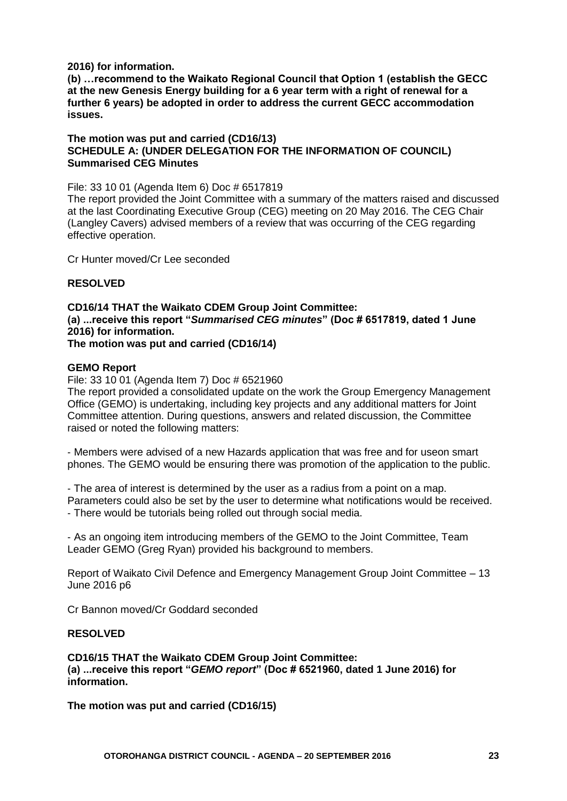#### **2016) for information.**

**(b) …recommend to the Waikato Regional Council that Option 1 (establish the GECC at the new Genesis Energy building for a 6 year term with a right of renewal for a further 6 years) be adopted in order to address the current GECC accommodation issues.**

#### **The motion was put and carried (CD16/13) SCHEDULE A: (UNDER DELEGATION FOR THE INFORMATION OF COUNCIL) Summarised CEG Minutes**

File: 33 10 01 (Agenda Item 6) Doc # 6517819

The report provided the Joint Committee with a summary of the matters raised and discussed at the last Coordinating Executive Group (CEG) meeting on 20 May 2016. The CEG Chair (Langley Cavers) advised members of a review that was occurring of the CEG regarding effective operation.

Cr Hunter moved/Cr Lee seconded

#### **RESOLVED**

#### **CD16/14 THAT the Waikato CDEM Group Joint Committee: (a) ...receive this report "***Summarised CEG minutes***" (Doc # 6517819, dated 1 June 2016) for information. The motion was put and carried (CD16/14)**

#### **GEMO Report**

File: 33 10 01 (Agenda Item 7) Doc # 6521960

The report provided a consolidated update on the work the Group Emergency Management Office (GEMO) is undertaking, including key projects and any additional matters for Joint Committee attention. During questions, answers and related discussion, the Committee raised or noted the following matters:

‐ Members were advised of a new Hazards application that was free and for useon smart phones. The GEMO would be ensuring there was promotion of the application to the public.

‐ The area of interest is determined by the user as a radius from a point on a map. Parameters could also be set by the user to determine what notifications would be received. ‐ There would be tutorials being rolled out through social media.

‐ As an ongoing item introducing members of the GEMO to the Joint Committee, Team Leader GEMO (Greg Ryan) provided his background to members.

Report of Waikato Civil Defence and Emergency Management Group Joint Committee – 13 June 2016 p6

Cr Bannon moved/Cr Goddard seconded

#### **RESOLVED**

**CD16/15 THAT the Waikato CDEM Group Joint Committee: (a) ...receive this report "***GEMO report***" (Doc # 6521960, dated 1 June 2016) for information.**

**The motion was put and carried (CD16/15)**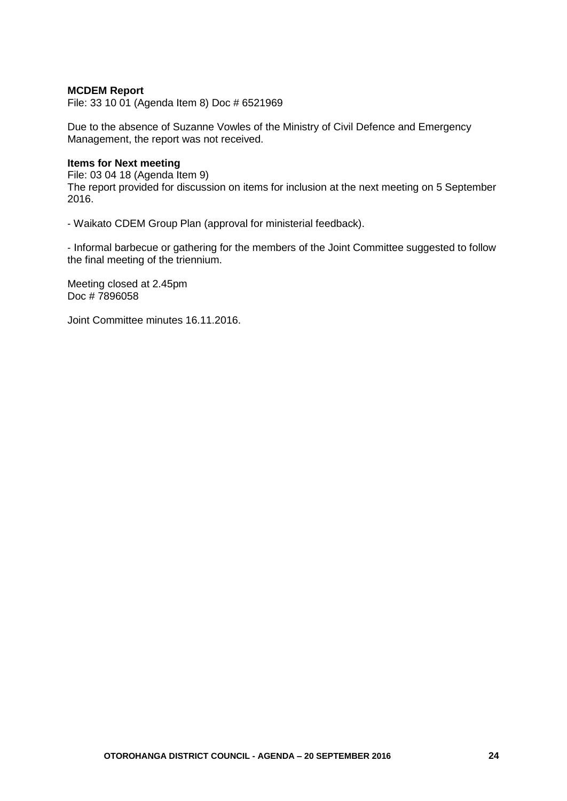#### **MCDEM Report**

File: 33 10 01 (Agenda Item 8) Doc # 6521969

Due to the absence of Suzanne Vowles of the Ministry of Civil Defence and Emergency Management, the report was not received.

#### **Items for Next meeting**

File: 03 04 18 (Agenda Item 9) The report provided for discussion on items for inclusion at the next meeting on 5 September 2016.

‐ Waikato CDEM Group Plan (approval for ministerial feedback).

‐ Informal barbecue or gathering for the members of the Joint Committee suggested to follow the final meeting of the triennium.

Meeting closed at 2.45pm Doc # 7896058

Joint Committee minutes 16.11.2016.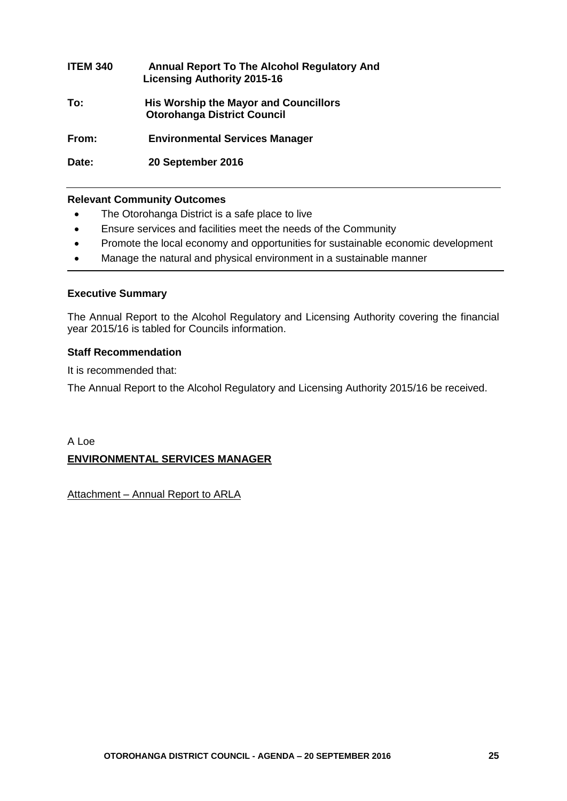# **ITEM 340 Annual Report To The Alcohol Regulatory And Licensing Authority 2015-16 To: His Worship the Mayor and Councillors Otorohanga District Council From: Environmental Services Manager**

**Date: 20 September 2016**

#### **Relevant Community Outcomes**

- The Otorohanga District is a safe place to live
- Ensure services and facilities meet the needs of the Community
- Promote the local economy and opportunities for sustainable economic development
- Manage the natural and physical environment in a sustainable manner

#### **Executive Summary**

The Annual Report to the Alcohol Regulatory and Licensing Authority covering the financial year 2015/16 is tabled for Councils information.

#### **Staff Recommendation**

It is recommended that:

The Annual Report to the Alcohol Regulatory and Licensing Authority 2015/16 be received.

## A Loe **ENVIRONMENTAL SERVICES MANAGER**

Attachment – Annual Report to ARLA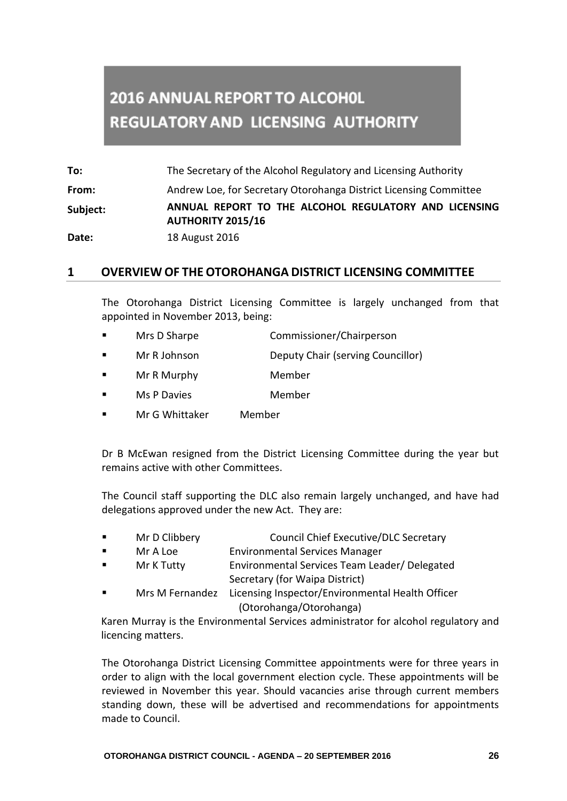# **2016 ANNUAL REPORT TO ALCOHOL REGULATORY AND LICENSING AUTHORITY**

**To:** The Secretary of the Alcohol Regulatory and Licensing Authority **From:** Andrew Loe, for Secretary Otorohanga District Licensing Committee **Subject: ANNUAL REPORT TO THE ALCOHOL REGULATORY AND LICENSING AUTHORITY 2015/16 Date:** 18 August 2016

## **1 OVERVIEW OF THE OTOROHANGA DISTRICT LICENSING COMMITTEE**

The Otorohanga District Licensing Committee is largely unchanged from that appointed in November 2013, being:

- Mrs D Sharpe Commissioner/Chairperson
- Mr R Johnson Deputy Chair (serving Councillor)
- Mr R Murphy Member
- **NS P Davies** Member
- Mr G Whittaker Member

Dr B McEwan resigned from the District Licensing Committee during the year but remains active with other Committees.

The Council staff supporting the DLC also remain largely unchanged, and have had delegations approved under the new Act. They are:

- Mr D Clibbery Council Chief Executive/DLC Secretary **Environmental Services Manager Environmental Services Manager**  Mr K Tutty Environmental Services Team Leader/ Delegated Secretary (for Waipa District)
- Mrs M Fernandez Licensing Inspector/Environmental Health Officer (Otorohanga/Otorohanga)

Karen Murray is the Environmental Services administrator for alcohol regulatory and licencing matters.

The Otorohanga District Licensing Committee appointments were for three years in order to align with the local government election cycle. These appointments will be reviewed in November this year. Should vacancies arise through current members standing down, these will be advertised and recommendations for appointments made to Council.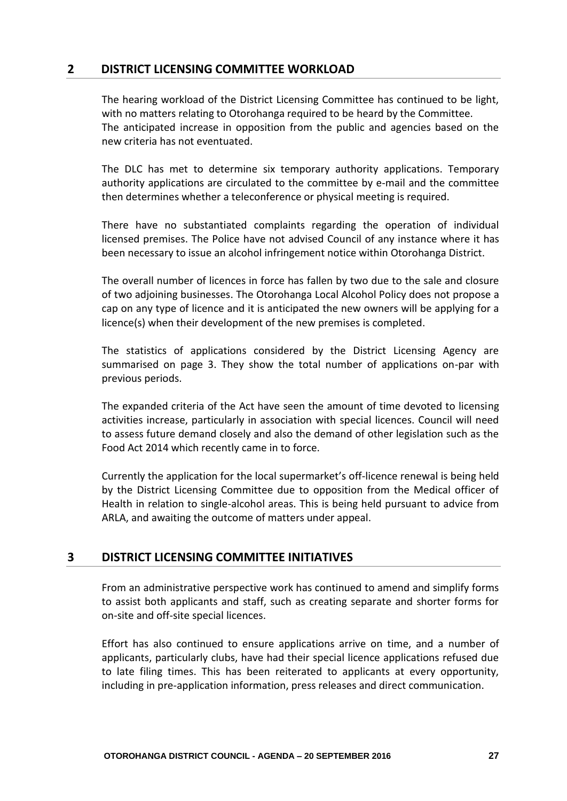## **2 DISTRICT LICENSING COMMITTEE WORKLOAD**

The hearing workload of the District Licensing Committee has continued to be light, with no matters relating to Otorohanga required to be heard by the Committee. The anticipated increase in opposition from the public and agencies based on the new criteria has not eventuated.

The DLC has met to determine six temporary authority applications. Temporary authority applications are circulated to the committee by e-mail and the committee then determines whether a teleconference or physical meeting is required.

There have no substantiated complaints regarding the operation of individual licensed premises. The Police have not advised Council of any instance where it has been necessary to issue an alcohol infringement notice within Otorohanga District.

The overall number of licences in force has fallen by two due to the sale and closure of two adjoining businesses. The Otorohanga Local Alcohol Policy does not propose a cap on any type of licence and it is anticipated the new owners will be applying for a licence(s) when their development of the new premises is completed.

The statistics of applications considered by the District Licensing Agency are summarised on page 3. They show the total number of applications on-par with previous periods.

The expanded criteria of the Act have seen the amount of time devoted to licensing activities increase, particularly in association with special licences. Council will need to assess future demand closely and also the demand of other legislation such as the Food Act 2014 which recently came in to force.

Currently the application for the local supermarket's off-licence renewal is being held by the District Licensing Committee due to opposition from the Medical officer of Health in relation to single-alcohol areas. This is being held pursuant to advice from ARLA, and awaiting the outcome of matters under appeal.

## **3 DISTRICT LICENSING COMMITTEE INITIATIVES**

From an administrative perspective work has continued to amend and simplify forms to assist both applicants and staff, such as creating separate and shorter forms for on-site and off-site special licences.

Effort has also continued to ensure applications arrive on time, and a number of applicants, particularly clubs, have had their special licence applications refused due to late filing times. This has been reiterated to applicants at every opportunity, including in pre-application information, press releases and direct communication.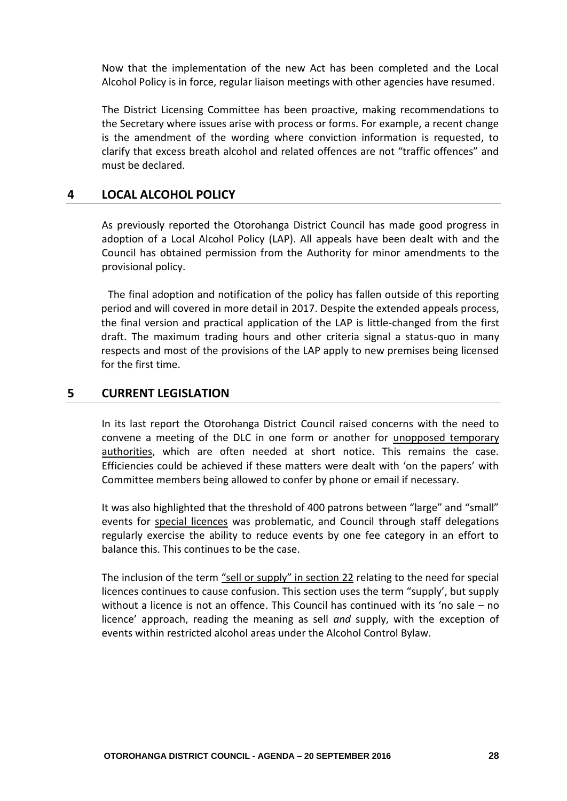Now that the implementation of the new Act has been completed and the Local Alcohol Policy is in force, regular liaison meetings with other agencies have resumed.

The District Licensing Committee has been proactive, making recommendations to the Secretary where issues arise with process or forms. For example, a recent change is the amendment of the wording where conviction information is requested, to clarify that excess breath alcohol and related offences are not "traffic offences" and must be declared.

#### **4 LOCAL ALCOHOL POLICY**

As previously reported the Otorohanga District Council has made good progress in adoption of a Local Alcohol Policy (LAP). All appeals have been dealt with and the Council has obtained permission from the Authority for minor amendments to the provisional policy.

The final adoption and notification of the policy has fallen outside of this reporting period and will covered in more detail in 2017. Despite the extended appeals process, the final version and practical application of the LAP is little-changed from the first draft. The maximum trading hours and other criteria signal a status-quo in many respects and most of the provisions of the LAP apply to new premises being licensed for the first time.

#### **5 CURRENT LEGISLATION**

In its last report the Otorohanga District Council raised concerns with the need to convene a meeting of the DLC in one form or another for unopposed temporary authorities, which are often needed at short notice. This remains the case. Efficiencies could be achieved if these matters were dealt with 'on the papers' with Committee members being allowed to confer by phone or email if necessary.

It was also highlighted that the threshold of 400 patrons between "large" and "small" events for special licences was problematic, and Council through staff delegations regularly exercise the ability to reduce events by one fee category in an effort to balance this. This continues to be the case.

The inclusion of the term "sell or supply" in section 22 relating to the need for special licences continues to cause confusion. This section uses the term "supply', but supply without a licence is not an offence. This Council has continued with its 'no sale – no licence' approach, reading the meaning as sell *and* supply, with the exception of events within restricted alcohol areas under the Alcohol Control Bylaw.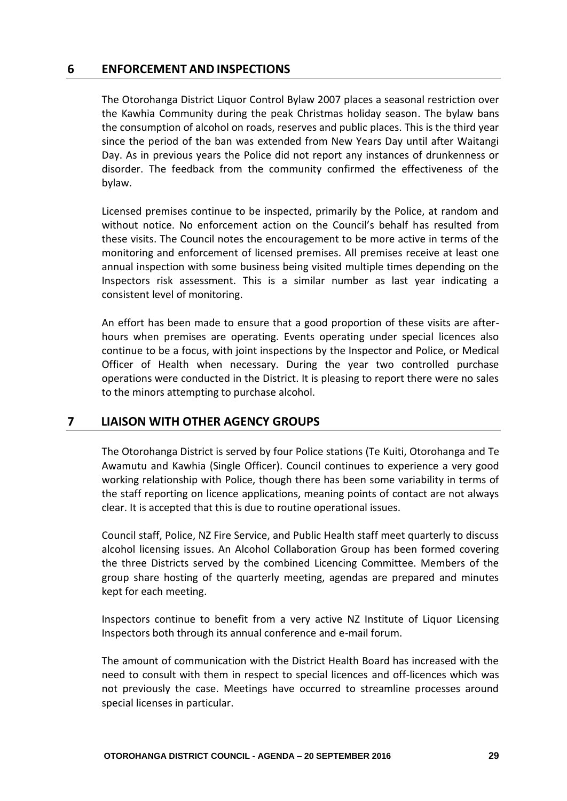#### **6 ENFORCEMENT AND INSPECTIONS**

The Otorohanga District Liquor Control Bylaw 2007 places a seasonal restriction over the Kawhia Community during the peak Christmas holiday season. The bylaw bans the consumption of alcohol on roads, reserves and public places. This is the third year since the period of the ban was extended from New Years Day until after Waitangi Day. As in previous years the Police did not report any instances of drunkenness or disorder. The feedback from the community confirmed the effectiveness of the bylaw.

Licensed premises continue to be inspected, primarily by the Police, at random and without notice. No enforcement action on the Council's behalf has resulted from these visits. The Council notes the encouragement to be more active in terms of the monitoring and enforcement of licensed premises. All premises receive at least one annual inspection with some business being visited multiple times depending on the Inspectors risk assessment. This is a similar number as last year indicating a consistent level of monitoring.

An effort has been made to ensure that a good proportion of these visits are afterhours when premises are operating. Events operating under special licences also continue to be a focus, with joint inspections by the Inspector and Police, or Medical Officer of Health when necessary. During the year two controlled purchase operations were conducted in the District. It is pleasing to report there were no sales to the minors attempting to purchase alcohol.

## **7 LIAISON WITH OTHER AGENCY GROUPS**

The Otorohanga District is served by four Police stations (Te Kuiti, Otorohanga and Te Awamutu and Kawhia (Single Officer). Council continues to experience a very good working relationship with Police, though there has been some variability in terms of the staff reporting on licence applications, meaning points of contact are not always clear. It is accepted that this is due to routine operational issues.

Council staff, Police, NZ Fire Service, and Public Health staff meet quarterly to discuss alcohol licensing issues. An Alcohol Collaboration Group has been formed covering the three Districts served by the combined Licencing Committee. Members of the group share hosting of the quarterly meeting, agendas are prepared and minutes kept for each meeting.

Inspectors continue to benefit from a very active NZ Institute of Liquor Licensing Inspectors both through its annual conference and e-mail forum.

The amount of communication with the District Health Board has increased with the need to consult with them in respect to special licences and off-licences which was not previously the case. Meetings have occurred to streamline processes around special licenses in particular.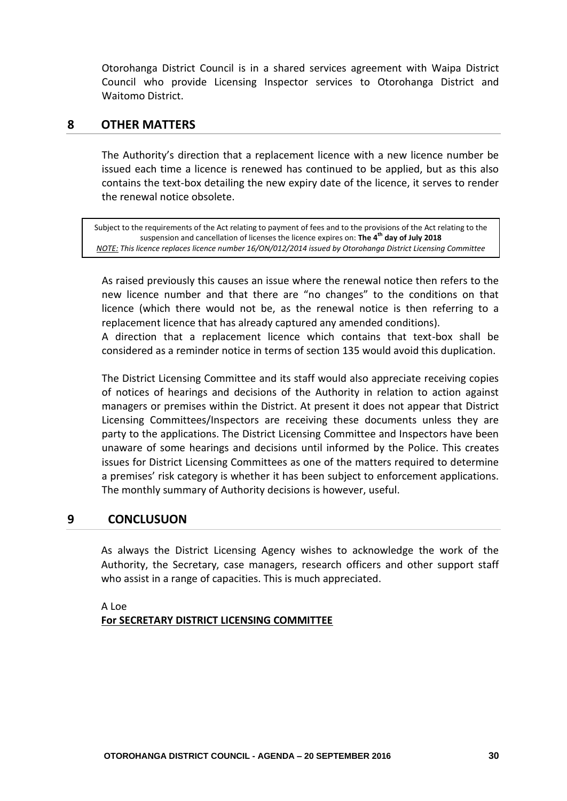Otorohanga District Council is in a shared services agreement with Waipa District Council who provide Licensing Inspector services to Otorohanga District and Waitomo District.

#### **8 OTHER MATTERS**

The Authority's direction that a replacement licence with a new licence number be issued each time a licence is renewed has continued to be applied, but as this also contains the text-box detailing the new expiry date of the licence, it serves to render the renewal notice obsolete.

Subject to the requirements of the Act relating to payment of fees and to the provisions of the Act relating to the suspension and cancellation of licenses the licence expires on: **The 4th day of July 2018** *NOTE: This licence replaces licence number 16/ON/012/2014 issued by Otorohanga District Licensing Committee*

As raised previously this causes an issue where the renewal notice then refers to the new licence number and that there are "no changes" to the conditions on that licence (which there would not be, as the renewal notice is then referring to a replacement licence that has already captured any amended conditions).

A direction that a replacement licence which contains that text-box shall be considered as a reminder notice in terms of section 135 would avoid this duplication.

The District Licensing Committee and its staff would also appreciate receiving copies of notices of hearings and decisions of the Authority in relation to action against managers or premises within the District. At present it does not appear that District Licensing Committees/Inspectors are receiving these documents unless they are party to the applications. The District Licensing Committee and Inspectors have been unaware of some hearings and decisions until informed by the Police. This creates issues for District Licensing Committees as one of the matters required to determine a premises' risk category is whether it has been subject to enforcement applications. The monthly summary of Authority decisions is however, useful.

#### **9 CONCLUSUON**

As always the District Licensing Agency wishes to acknowledge the work of the Authority, the Secretary, case managers, research officers and other support staff who assist in a range of capacities. This is much appreciated.

A Loe **For SECRETARY DISTRICT LICENSING COMMITTEE**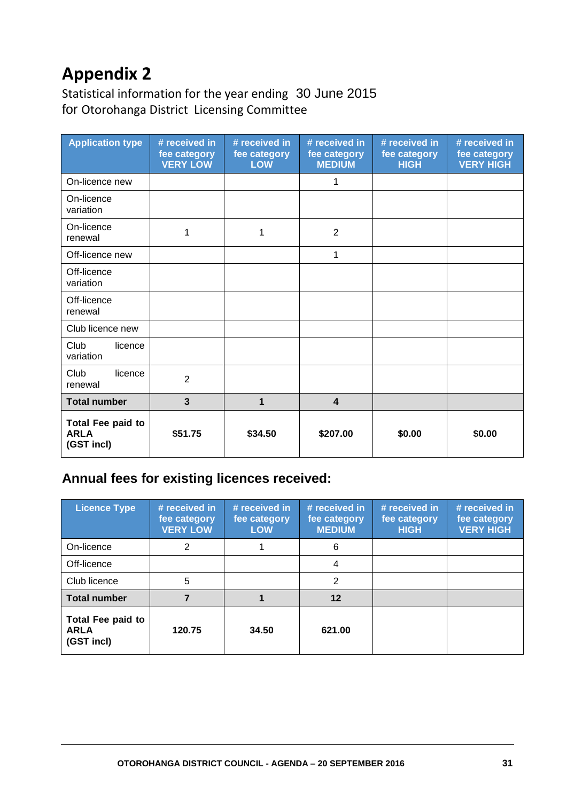# **Appendix 2**

Statistical information for the year ending 30 June 2015 for Otorohanga District Licensing Committee

| <b>Application type</b>                        | # received in<br>fee category<br><b>VERY LOW</b> | # received in<br>fee category<br><b>LOW</b> | # received in<br>fee category<br><b>MEDIUM</b> | # received in<br>fee category<br><b>HIGH</b> | # received in<br>fee category<br><b>VERY HIGH</b> |
|------------------------------------------------|--------------------------------------------------|---------------------------------------------|------------------------------------------------|----------------------------------------------|---------------------------------------------------|
| On-licence new                                 |                                                  |                                             | 1                                              |                                              |                                                   |
| On-licence<br>variation                        |                                                  |                                             |                                                |                                              |                                                   |
| On-licence<br>renewal                          | 1                                                | 1                                           | $\overline{2}$                                 |                                              |                                                   |
| Off-licence new                                |                                                  |                                             | 1                                              |                                              |                                                   |
| Off-licence<br>variation                       |                                                  |                                             |                                                |                                              |                                                   |
| Off-licence<br>renewal                         |                                                  |                                             |                                                |                                              |                                                   |
| Club licence new                               |                                                  |                                             |                                                |                                              |                                                   |
| Club<br>licence<br>variation                   |                                                  |                                             |                                                |                                              |                                                   |
| Club<br>licence<br>renewal                     | $\overline{2}$                                   |                                             |                                                |                                              |                                                   |
| <b>Total number</b>                            | $\overline{\mathbf{3}}$                          | 1                                           | $\overline{\mathbf{4}}$                        |                                              |                                                   |
| Total Fee paid to<br><b>ARLA</b><br>(GST incl) | \$51.75                                          | \$34.50                                     | \$207.00                                       | \$0.00                                       | \$0.00                                            |

# **Annual fees for existing licences received:**

| <b>Licence Type</b>                            | # received in<br>fee category<br><b>VERY LOW</b> | # received in<br>fee category<br><b>LOW</b> | # received in<br>fee category<br><b>MEDIUM</b> | # received in<br>fee category<br><b>HIGH</b> | # received in<br>fee category<br><b>VERY HIGH</b> |
|------------------------------------------------|--------------------------------------------------|---------------------------------------------|------------------------------------------------|----------------------------------------------|---------------------------------------------------|
| On-licence                                     | 2                                                |                                             | 6                                              |                                              |                                                   |
| Off-licence                                    |                                                  |                                             | 4                                              |                                              |                                                   |
| Club licence                                   | 5                                                |                                             | $\overline{2}$                                 |                                              |                                                   |
| <b>Total number</b>                            |                                                  |                                             | $12 \,$                                        |                                              |                                                   |
| Total Fee paid to<br><b>ARLA</b><br>(GST incl) | 120.75                                           | 34.50                                       | 621.00                                         |                                              |                                                   |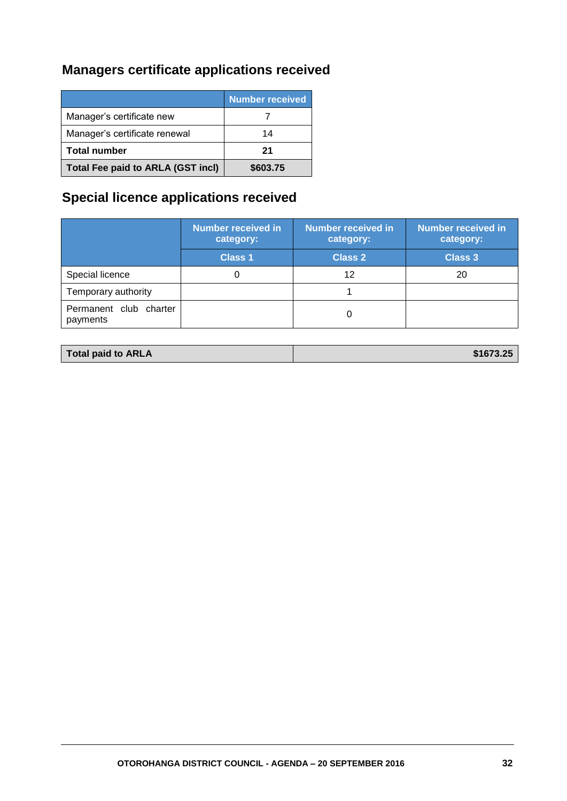# **Managers certificate applications received**

|                                          | <b>Number received</b> |
|------------------------------------------|------------------------|
| Manager's certificate new                |                        |
| Manager's certificate renewal            | 14                     |
| <b>Total number</b>                      | 21                     |
| <b>Total Fee paid to ARLA (GST incl)</b> | \$603.75               |

# **Special licence applications received**

|                                    | <b>Number received in</b><br>category: | <b>Number received in</b><br>category: | <b>Number received in</b><br>category: |
|------------------------------------|----------------------------------------|----------------------------------------|----------------------------------------|
|                                    | <b>Class 1</b>                         | <b>Class 2</b>                         | <b>Class 3</b>                         |
| Special licence                    |                                        | 12                                     | 20                                     |
| Temporary authority                |                                        |                                        |                                        |
| Permanent club charter<br>payments |                                        |                                        |                                        |

| \$1673.25<br>Total paid to ARLA |
|---------------------------------|
|---------------------------------|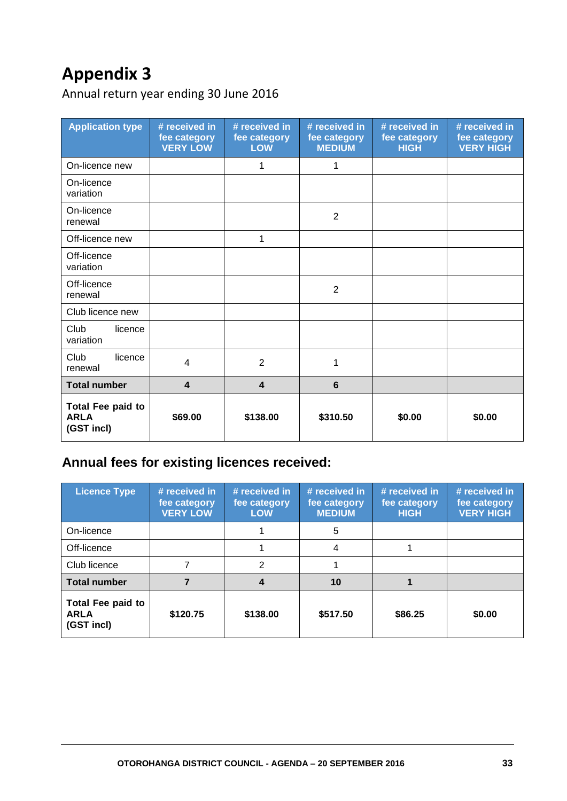# **Appendix 3**

Annual return year ending 30 June 2016

| <b>Application type</b>                               | # received in<br>fee category<br><b>VERY LOW</b> | # received in<br>fee category<br><b>LOW</b> | # received in<br>fee category<br><b>MEDIUM</b> | # received in<br>fee category<br><b>HIGH</b> | # received in<br>fee category<br><b>VERY HIGH</b> |
|-------------------------------------------------------|--------------------------------------------------|---------------------------------------------|------------------------------------------------|----------------------------------------------|---------------------------------------------------|
| On-licence new                                        |                                                  | 1                                           | 1                                              |                                              |                                                   |
| On-licence<br>variation                               |                                                  |                                             |                                                |                                              |                                                   |
| On-licence<br>renewal                                 |                                                  |                                             | 2                                              |                                              |                                                   |
| Off-licence new                                       |                                                  | 1                                           |                                                |                                              |                                                   |
| Off-licence<br>variation                              |                                                  |                                             |                                                |                                              |                                                   |
| Off-licence<br>renewal                                |                                                  |                                             | $\overline{2}$                                 |                                              |                                                   |
| Club licence new                                      |                                                  |                                             |                                                |                                              |                                                   |
| Club<br>licence<br>variation                          |                                                  |                                             |                                                |                                              |                                                   |
| Club<br>licence<br>renewal                            | 4                                                | $\overline{2}$                              | 1                                              |                                              |                                                   |
| <b>Total number</b>                                   | $\overline{\mathbf{4}}$                          | $\overline{\mathbf{4}}$                     | 6                                              |                                              |                                                   |
| <b>Total Fee paid to</b><br><b>ARLA</b><br>(GST incl) | \$69.00                                          | \$138.00                                    | \$310.50                                       | \$0.00                                       | \$0.00                                            |

# **Annual fees for existing licences received:**

| <b>Licence Type</b>                                   | # received in<br>fee category<br><b>VERY LOW</b> | # received in<br>fee category<br><b>LOW</b> | # received in<br>fee category<br><b>MEDIUM</b> | # received in<br>fee category<br><b>HIGH</b> | # received in<br>fee category<br><b>VERY HIGH</b> |
|-------------------------------------------------------|--------------------------------------------------|---------------------------------------------|------------------------------------------------|----------------------------------------------|---------------------------------------------------|
| On-licence                                            |                                                  |                                             | 5                                              |                                              |                                                   |
| Off-licence                                           |                                                  |                                             | 4                                              |                                              |                                                   |
| Club licence                                          |                                                  | 2                                           |                                                |                                              |                                                   |
| <b>Total number</b>                                   |                                                  | 4                                           | 10                                             |                                              |                                                   |
| <b>Total Fee paid to</b><br><b>ARLA</b><br>(GST incl) | \$120.75                                         | \$138.00                                    | \$517.50                                       | \$86.25                                      | \$0.00                                            |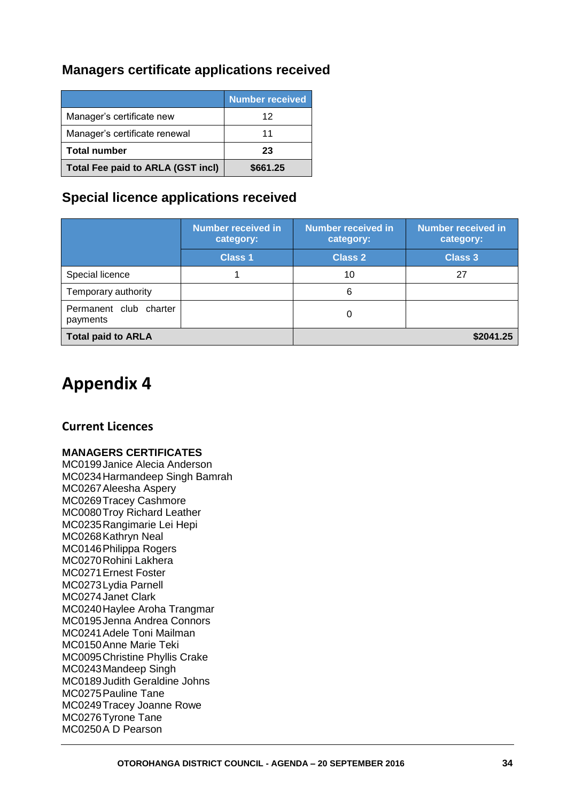# **Managers certificate applications received**

|                                          | <b>Number received</b> |
|------------------------------------------|------------------------|
| Manager's certificate new                | 12                     |
| Manager's certificate renewal            | 11                     |
| <b>Total number</b>                      | 23                     |
| <b>Total Fee paid to ARLA (GST incl)</b> | \$661.25               |

# **Special licence applications received**

|                                    | <b>Number received in</b><br>category: | <b>Number received in</b><br>category: | <b>Number received in</b><br>category: |
|------------------------------------|----------------------------------------|----------------------------------------|----------------------------------------|
|                                    | <b>Class 1</b>                         | <b>Class 2</b>                         | <b>Class 3</b>                         |
| Special licence                    |                                        | 10                                     | 27                                     |
| Temporary authority                |                                        | 6                                      |                                        |
| Permanent club charter<br>payments |                                        |                                        |                                        |
| <b>Total paid to ARLA</b>          |                                        | \$2041.25                              |                                        |

# **Appendix 4**

## **Current Licences**

#### **MANAGERS CERTIFICATES**

MC0199Janice Alecia Anderson MC0234Harmandeep Singh Bamrah MC0267Aleesha Aspery MC0269Tracey Cashmore MC0080Troy Richard Leather MC0235Rangimarie Lei Hepi MC0268Kathryn Neal MC0146Philippa Rogers MC0270Rohini Lakhera MC0271Ernest Foster MC0273Lydia Parnell MC0274Janet Clark MC0240Haylee Aroha Trangmar MC0195Jenna Andrea Connors MC0241Adele Toni Mailman MC0150Anne Marie Teki MC0095Christine Phyllis Crake MC0243Mandeep Singh MC0189Judith Geraldine Johns MC0275Pauline Tane MC0249Tracey Joanne Rowe MC0276Tyrone Tane MC0250A D Pearson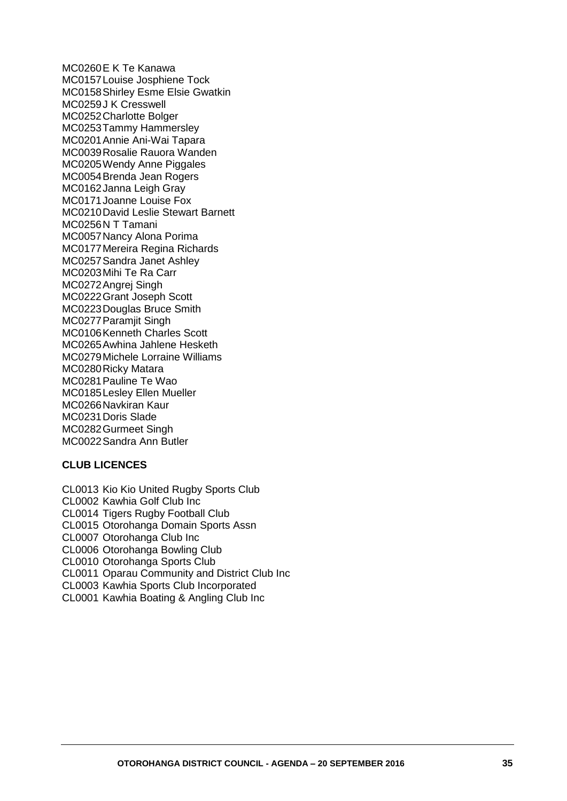MC0260E K Te Kanawa MC0157Louise Josphiene Tock MC0158Shirley Esme Elsie Gwatkin MC0259J K Cresswell MC0252Charlotte Bolger MC0253Tammy Hammersley MC0201Annie Ani-Wai Tapara MC0039Rosalie Rauora Wanden MC0205Wendy Anne Piggales MC0054Brenda Jean Rogers MC0162Janna Leigh Gray MC0171Joanne Louise Fox MC0210David Leslie Stewart Barnett MC0256N T Tamani MC0057Nancy Alona Porima MC0177Mereira Regina Richards MC0257Sandra Janet Ashley MC0203Mihi Te Ra Carr MC0272Angrej Singh MC0222Grant Joseph Scott MC0223Douglas Bruce Smith MC0277Paramjit Singh MC0106Kenneth Charles Scott MC0265Awhina Jahlene Hesketh MC0279Michele Lorraine Williams MC0280Ricky Matara MC0281Pauline Te Wao MC0185Lesley Ellen Mueller MC0266Navkiran Kaur MC0231Doris Slade MC0282Gurmeet Singh MC0022Sandra Ann Butler

#### **CLUB LICENCES**

CL0013 Kio Kio United Rugby Sports Club CL0002 Kawhia Golf Club Inc CL0014 Tigers Rugby Football Club CL0015 Otorohanga Domain Sports Assn CL0007 Otorohanga Club Inc CL0006 Otorohanga Bowling Club CL0010 Otorohanga Sports Club CL0011 Oparau Community and District Club Inc CL0003 Kawhia Sports Club Incorporated CL0001 Kawhia Boating & Angling Club Inc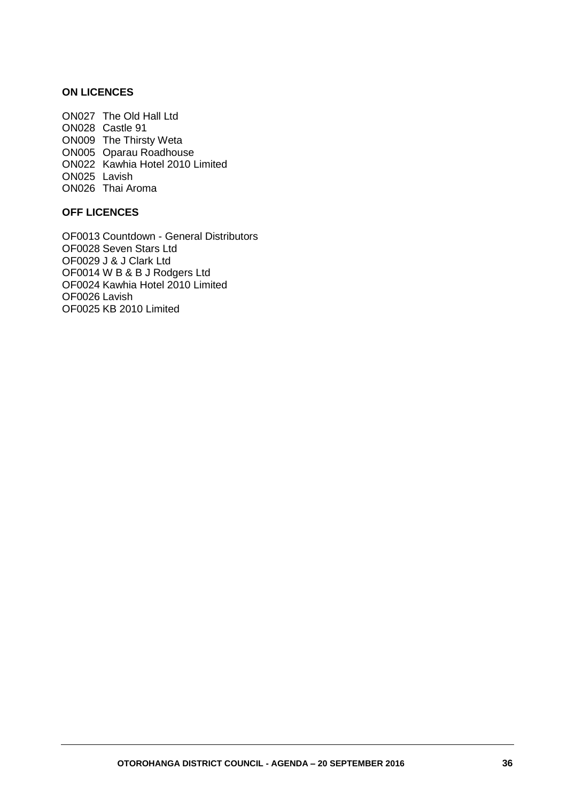#### **ON LICENCES**

ON027 The Old Hall Ltd ON028 Castle 91 ON009 The Thirsty Weta ON005 Oparau Roadhouse ON022 Kawhia Hotel 2010 Limited ON025 Lavish ON026 Thai Aroma

#### **OFF LICENCES**

OF0013 Countdown - General Distributors OF0028 Seven Stars Ltd OF0029 J & J Clark Ltd OF0014 W B & B J Rodgers Ltd OF0024 Kawhia Hotel 2010 Limited OF0026 Lavish OF0025 KB 2010 Limited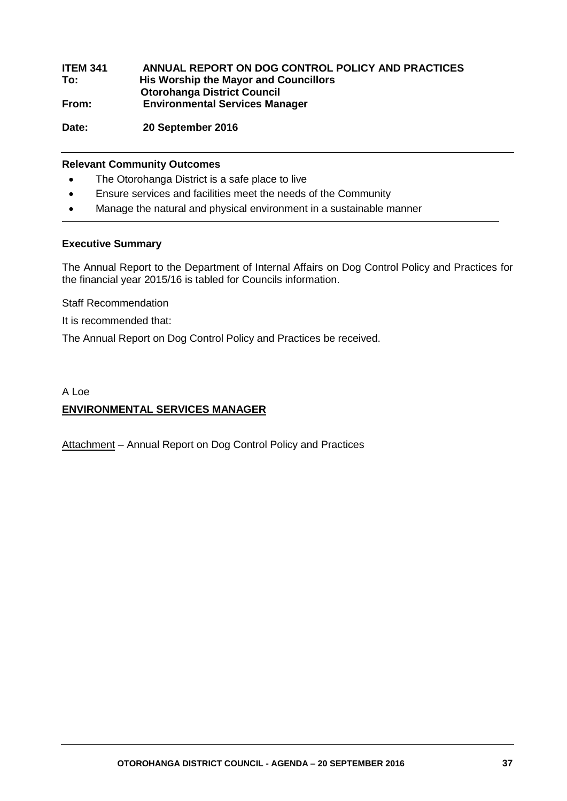| <b>ITEM 341</b> | ANNUAL REPORT ON DOG CONTROL POLICY AND PRACTICES |
|-----------------|---------------------------------------------------|
| To:             | His Worship the Mayor and Councillors             |
|                 | <b>Otorohanga District Council</b>                |
| From:           | <b>Environmental Services Manager</b>             |
|                 |                                                   |

**Date: 20 September 2016**

#### **Relevant Community Outcomes**

- The Otorohanga District is a safe place to live
- Ensure services and facilities meet the needs of the Community
- Manage the natural and physical environment in a sustainable manner

#### **Executive Summary**

The Annual Report to the Department of Internal Affairs on Dog Control Policy and Practices for the financial year 2015/16 is tabled for Councils information.

Staff Recommendation

It is recommended that:

The Annual Report on Dog Control Policy and Practices be received.

# A Loe **ENVIRONMENTAL SERVICES MANAGER**

Attachment - Annual Report on Dog Control Policy and Practices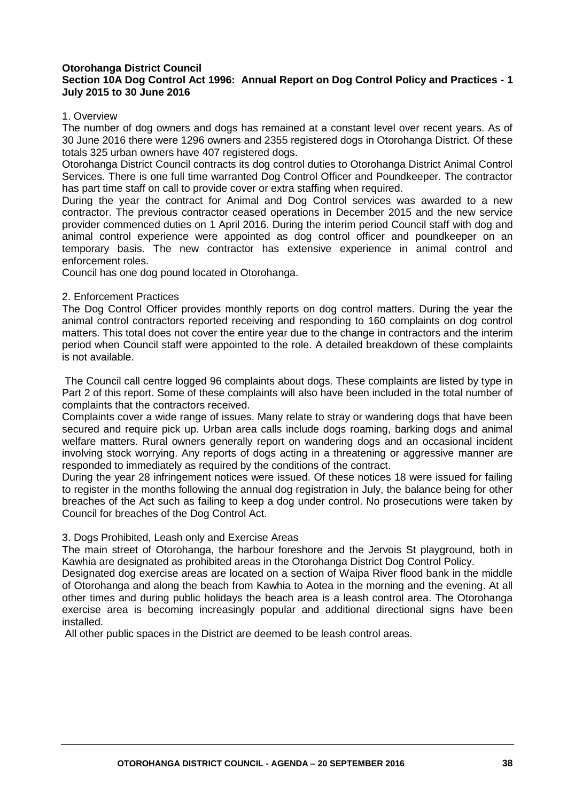#### **Otorohanga District Council Section 10A Dog Control Act 1996: Annual Report on Dog Control Policy and Practices - 1 July 2015 to 30 June 2016**

#### 1. Overview

The number of dog owners and dogs has remained at a constant level over recent years. As of 30 June 2016 there were 1296 owners and 2355 registered dogs in Otorohanga District. Of these totals 325 urban owners have 407 registered dogs.

Otorohanga District Council contracts its dog control duties to Otorohanga District Animal Control Services. There is one full time warranted Dog Control Officer and Poundkeeper. The contractor has part time staff on call to provide cover or extra staffing when required.

During the year the contract for Animal and Dog Control services was awarded to a new contractor. The previous contractor ceased operations in December 2015 and the new service provider commenced duties on 1 April 2016. During the interim period Council staff with dog and animal control experience were appointed as dog control officer and poundkeeper on an temporary basis. The new contractor has extensive experience in animal control and enforcement roles.

Council has one dog pound located in Otorohanga.

#### 2. Enforcement Practices

The Dog Control Officer provides monthly reports on dog control matters. During the year the animal control contractors reported receiving and responding to 160 complaints on dog control matters. This total does not cover the entire year due to the change in contractors and the interim period when Council staff were appointed to the role. A detailed breakdown of these complaints is not available.

The Council call centre logged 96 complaints about dogs. These complaints are listed by type in Part 2 of this report. Some of these complaints will also have been included in the total number of complaints that the contractors received.

Complaints cover a wide range of issues. Many relate to stray or wandering dogs that have been secured and require pick up. Urban area calls include dogs roaming, barking dogs and animal welfare matters. Rural owners generally report on wandering dogs and an occasional incident involving stock worrving. Any reports of dogs acting in a threatening or aggressive manner are responded to immediately as required by the conditions of the contract.

During the year 28 infringement notices were issued. Of these notices 18 were issued for failing to register in the months following the annual dog registration in July, the balance being for other breaches of the Act such as failing to keep a dog under control. No prosecutions were taken by Council for breaches of the Dog Control Act.

#### 3. Dogs Prohibited, Leash only and Exercise Areas

The main street of Otorohanga, the harbour foreshore and the Jervois St playground, both in Kawhia are designated as prohibited areas in the Otorohanga District Dog Control Policy.

Designated dog exercise areas are located on a section of Waipa River flood bank in the middle of Otorohanga and along the beach from Kawhia to Aotea in the morning and the evening. At all other times and during public holidays the beach area is a leash control area. The Otorohanga exercise area is becoming increasingly popular and additional directional signs have been installed.

All other public spaces in the District are deemed to be leash control areas.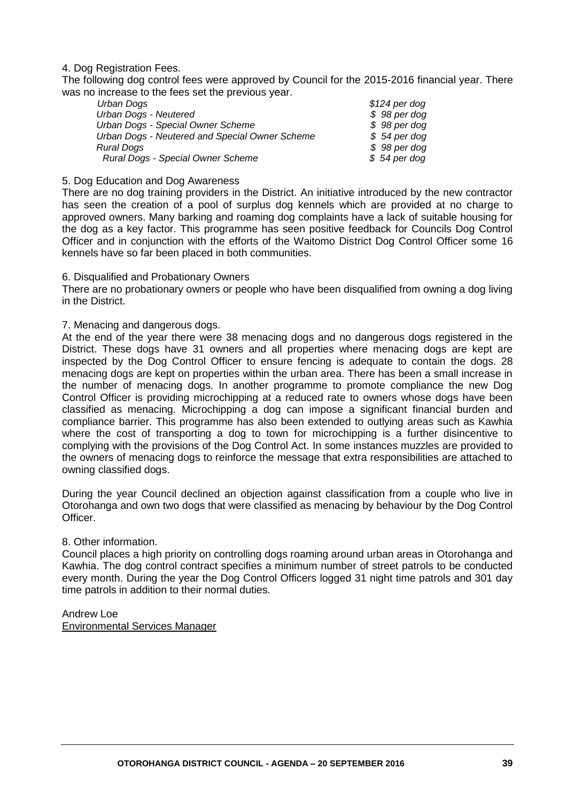#### 4. Dog Registration Fees.

The following dog control fees were approved by Council for the 2015-2016 financial year. There was no increase to the fees set the previous year.

| Urban Dogs                                     | $$124$ per dog |
|------------------------------------------------|----------------|
| Urban Dogs - Neutered                          | $$98$ per dog  |
| Urban Dogs - Special Owner Scheme              | \$98 per dog   |
| Urban Dogs - Neutered and Special Owner Scheme | $$54$ per dog  |
| <b>Rural Dogs</b>                              | $$98$ per dog  |
| Rural Dogs - Special Owner Scheme              | $$54$ per dog  |
|                                                |                |

#### 5. Dog Education and Dog Awareness

There are no dog training providers in the District. An initiative introduced by the new contractor has seen the creation of a pool of surplus dog kennels which are provided at no charge to approved owners. Many barking and roaming dog complaints have a lack of suitable housing for the dog as a key factor. This programme has seen positive feedback for Councils Dog Control Officer and in conjunction with the efforts of the Waitomo District Dog Control Officer some 16 kennels have so far been placed in both communities.

#### 6. Disqualified and Probationary Owners

There are no probationary owners or people who have been disqualified from owning a dog living in the District.

#### 7. Menacing and dangerous dogs.

At the end of the year there were 38 menacing dogs and no dangerous dogs registered in the District. These dogs have 31 owners and all properties where menacing dogs are kept are inspected by the Dog Control Officer to ensure fencing is adequate to contain the dogs. 28 menacing dogs are kept on properties within the urban area. There has been a small increase in the number of menacing dogs. In another programme to promote compliance the new Dog Control Officer is providing microchipping at a reduced rate to owners whose dogs have been classified as menacing. Microchipping a dog can impose a significant financial burden and compliance barrier. This programme has also been extended to outlying areas such as Kawhia where the cost of transporting a dog to town for microchipping is a further disincentive to complying with the provisions of the Dog Control Act. In some instances muzzles are provided to the owners of menacing dogs to reinforce the message that extra responsibilities are attached to owning classified dogs.

During the year Council declined an objection against classification from a couple who live in Otorohanga and own two dogs that were classified as menacing by behaviour by the Dog Control Officer.

#### 8. Other information.

Council places a high priority on controlling dogs roaming around urban areas in Otorohanga and Kawhia. The dog control contract specifies a minimum number of street patrols to be conducted every month. During the year the Dog Control Officers logged 31 night time patrols and 301 day time patrols in addition to their normal duties.

## Andrew Loe

Environmental Services Manager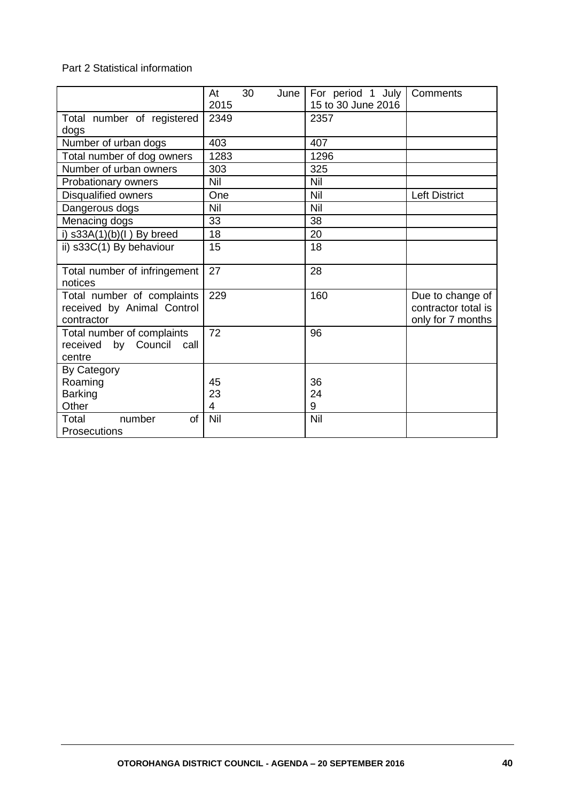#### Part 2 Statistical information

|                                                                        | At<br>2015                 | 30 | June | For period 1 July<br>15 to 30 June 2016 | Comments                                                     |
|------------------------------------------------------------------------|----------------------------|----|------|-----------------------------------------|--------------------------------------------------------------|
| Total number of registered<br>dogs                                     | 2349                       |    |      | 2357                                    |                                                              |
| Number of urban dogs                                                   | 403                        |    |      | 407                                     |                                                              |
| Total number of dog owners                                             | 1283                       |    |      | 1296                                    |                                                              |
| Number of urban owners                                                 | 303                        |    |      | 325                                     |                                                              |
| Probationary owners                                                    | Nil                        |    |      | Nil                                     |                                                              |
| Disqualified owners                                                    | One                        |    |      | Nil                                     | <b>Left District</b>                                         |
| Dangerous dogs                                                         | Nil                        |    |      | Nil                                     |                                                              |
| Menacing dogs                                                          | 33                         |    |      | 38                                      |                                                              |
| i) $s33A(1)(b)(l)$ By breed                                            | 18                         |    |      | 20                                      |                                                              |
| ii) s33C(1) By behaviour                                               | 15                         |    |      | 18                                      |                                                              |
| Total number of infringement<br>notices                                | 27                         |    |      | 28                                      |                                                              |
| Total number of complaints<br>received by Animal Control<br>contractor | 229                        |    |      | 160                                     | Due to change of<br>contractor total is<br>only for 7 months |
| Total number of complaints<br>by Council<br>received<br>call<br>centre | 72                         |    |      | 96                                      |                                                              |
| By Category<br>Roaming<br><b>Barking</b><br>Other                      | 45<br>23<br>$\overline{4}$ |    |      | 36<br>24<br>9                           |                                                              |
| number<br>of<br>Total<br>Prosecutions                                  | Nil                        |    |      | Nil                                     |                                                              |